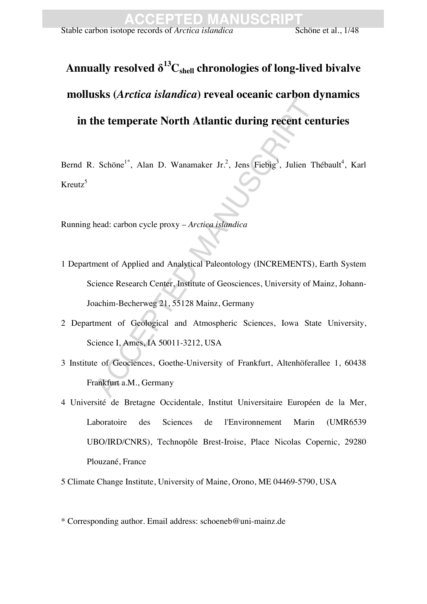# Annually resolved  $\delta^{13}C_{shell}$  chronologies of long-lived bivalve **mollusks (***Arctica islandica***) reveal oceanic carbon dynamics in the temperate North Atlantic during recent centuries**

Bernd R. Schöne<sup>1\*</sup>, Alan D. Wanamaker Jr.<sup>2</sup>, Jens Fiebig<sup>3</sup>, Julien Thébault<sup>4</sup>, Karl Kreutz<sup>5</sup>

Running head: carbon cycle proxy – *Arctica islandica*

- The temperate North Atlantic during recent consider the temperate North Atlantic during recent consider the Schöne<sup>1</sup>, Alan D. Wanamaker Jr.<sup>2</sup>, Jens Fiebig<sup>3</sup>, Julien 7.<br>
Aland: carbon cycle proxy *Arctica islandica*<br>
m 1 Department of Applied and Analytical Paleontology (INCREMENTS), Earth System Science Research Center, Institute of Geosciences, University of Mainz, Johann-Joachim-Becherweg 21, 55128 Mainz, Germany
- 2 Department of Geological and Atmospheric Sciences, Iowa State University, Science I, Ames, IA 50011-3212, USA
- 3 Institute of Geociences, Goethe-University of Frankfurt, Altenhöferallee 1, 60438 Frankfurt a.M., Germany
- 4 Université de Bretagne Occidentale, Institut Universitaire Européen de la Mer, Laboratoire des Sciences de l'Environnement Marin (UMR6539 UBO/IRD/CNRS), Technopôle Brest-Iroise, Place Nicolas Copernic, 29280 Plouzané, France

5 Climate Change Institute, University of Maine, Orono, ME 04469-5790, USA

<sup>\*</sup> Corresponding author. Email address: schoeneb@uni-mainz.de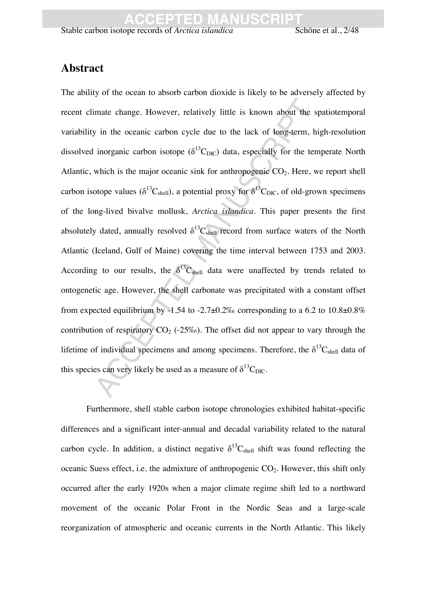### **Abstract**

imate change. However, relatively little is known about the<br>y in the oceanic carbon cycle due to the lack of long-term,<br>inorganic carbon isotope ( $\delta^{13}C_{DIC}$ ) data, especially for the te<br>which is the major oceanic sink The ability of the ocean to absorb carbon dioxide is likely to be adversely affected by recent climate change. However, relatively little is known about the spatiotemporal variability in the oceanic carbon cycle due to the lack of long-term, high-resolution dissolved inorganic carbon isotope ( $\delta^{13}C_{\text{DIC}}$ ) data, especially for the temperate North Atlantic, which is the major oceanic sink for anthropogenic  $CO<sub>2</sub>$ . Here, we report shell carbon isotope values ( $\delta^{13}C_{shell}$ ), a potential proxy for  $\delta^{13}C_{DIC}$ , of old-grown specimens of the long-lived bivalve mollusk, *Arctica islandica*. This paper presents the first absolutely dated, annually resolved  $\delta^{13}C_{shell}$  record from surface waters of the North Atlantic (Iceland, Gulf of Maine) covering the time interval between 1753 and 2003. According to our results, the  $\delta^{13}C_{shell}$  data were unaffected by trends related to ontogenetic age. However, the shell carbonate was precipitated with a constant offset from expected equilibrium by -1.54 to -2.7 $\pm$ 0.2‰ corresponding to a 6.2 to 10.8 $\pm$ 0.8% contribution of respiratory  $CO_2$  (-25‰). The offset did not appear to vary through the lifetime of individual specimens and among specimens. Therefore, the  $\delta^{13}C_{shell}$  data of this species can very likely be used as a measure of  $\delta^{13}C_{\text{DIC}}$ .

Furthermore, shell stable carbon isotope chronologies exhibited habitat-specific differences and a significant inter-annual and decadal variability related to the natural carbon cycle. In addition, a distinct negative  $\delta^{13}C_{shell}$  shift was found reflecting the oceanic Suess effect, i.e. the admixture of anthropogenic  $CO<sub>2</sub>$ . However, this shift only occurred after the early 1920s when a major climate regime shift led to a northward movement of the oceanic Polar Front in the Nordic Seas and a large-scale reorganization of atmospheric and oceanic currents in the North Atlantic. This likely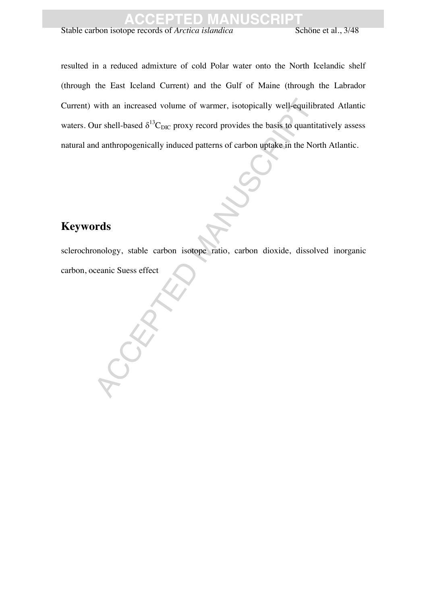Stable carbon isotope records of *Arctica islandica* Schöne et al., 3/48

with an increased volume of warmer, isotopically well-equilibur shell-based  $\delta^{13}C_{\text{DIC}}$  proxy record provides the basis to quant and anthropogenically induced patterns of carbon uptake in the N<br>and anthropogenically i resulted in a reduced admixture of cold Polar water onto the North Icelandic shelf (through the East Iceland Current) and the Gulf of Maine (through the Labrador Current) with an increased volume of warmer, isotopically well-equilibrated Atlantic waters. Our shell-based  $\delta^{13}C_{\text{DIC}}$  proxy record provides the basis to quantitatively assess natural and anthropogenically induced patterns of carbon uptake in the North Atlantic.

### **Keywords**

sclerochronology, stable carbon isotope ratio, carbon dioxide, dissolved inorganic carbon, oceanic Suess effect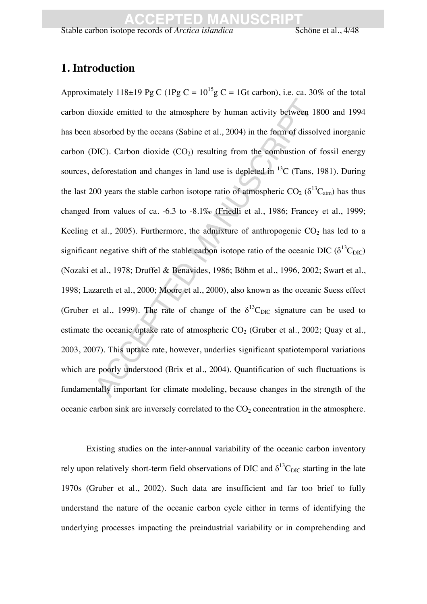### **1. Introduction**

ionide emitted to the atmosphere by human activity between<br>absorbed by the oceans (Sabine et al., 2004) in the form of diss<br>DIC). Carbon dioxide (CO<sub>2</sub>) resulting from the combustion of<br>eleforestation and changes in land Approximately 118±19 Pg C (1Pg C =  $10^{15}$ g C = 1Gt carbon), i.e. ca. 30% of the total carbon dioxide emitted to the atmosphere by human activity between 1800 and 1994 has been absorbed by the oceans (Sabine et al., 2004) in the form of dissolved inorganic carbon (DIC). Carbon dioxide  $(CO<sub>2</sub>)$  resulting from the combustion of fossil energy sources, deforestation and changes in land use is depleted in  $^{13}$ C (Tans, 1981). During the last 200 years the stable carbon isotope ratio of atmospheric CO<sub>2</sub> ( $\delta^{13}C_{atm}$ ) has thus changed from values of ca. -6.3 to -8.1‰ (Friedli et al., 1986; Francey et al., 1999; Keeling et al., 2005). Furthermore, the admixture of anthropogenic  $CO<sub>2</sub>$  has led to a significant negative shift of the stable carbon isotope ratio of the oceanic DIC ( $\delta^{13}C_{\text{DIC}}$ ) (Nozaki et al., 1978; Druffel & Benavides, 1986; Böhm et al., 1996, 2002; Swart et al., 1998; Lazareth et al., 2000; Moore et al., 2000), also known as the oceanic Suess effect (Gruber et al., 1999). The rate of change of the  $\delta^{13}$ C<sub>DIC</sub> signature can be used to estimate the oceanic uptake rate of atmospheric  $CO<sub>2</sub>$  (Gruber et al., 2002; Quay et al., 2003, 2007). This uptake rate, however, underlies significant spatiotemporal variations which are poorly understood (Brix et al., 2004). Quantification of such fluctuations is fundamentally important for climate modeling, because changes in the strength of the oceanic carbon sink are inversely correlated to the  $CO<sub>2</sub>$  concentration in the atmosphere.

Existing studies on the inter-annual variability of the oceanic carbon inventory rely upon relatively short-term field observations of DIC and  $\delta^{13}$ C<sub>DIC</sub> starting in the late 1970s (Gruber et al., 2002). Such data are insufficient and far too brief to fully understand the nature of the oceanic carbon cycle either in terms of identifying the underlying processes impacting the preindustrial variability or in comprehending and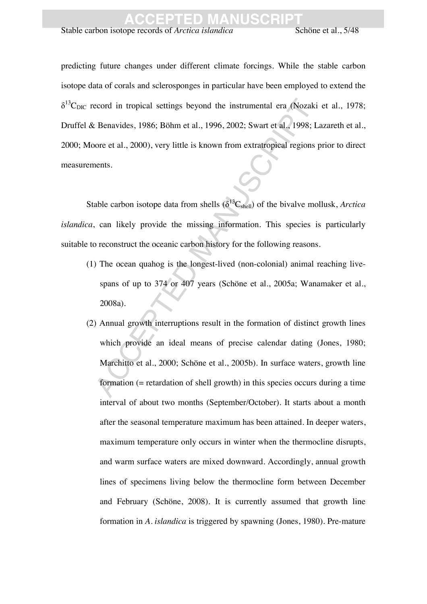Stable carbon isotope records of *Arctica islandica* Schöne et al., 5/48

predicting future changes under different climate forcings. While the stable carbon isotope data of corals and sclerosponges in particular have been employed to extend the  $\delta^{13}$ C<sub>DIC</sub> record in tropical settings beyond the instrumental era (Nozaki et al., 1978; Druffel & Benavides, 1986; Böhm et al., 1996, 2002; Swart et al., 1998; Lazareth et al., 2000; Moore et al., 2000), very little is known from extratropical regions prior to direct measurements.

Stable carbon isotope data from shells  $(\delta^{13}C_{shell})$  of the bivalve mollusk, *Arctica islandica*, can likely provide the missing information. This species is particularly suitable to reconstruct the oceanic carbon history for the following reasons.

- (1) The ocean quahog is the longest-lived (non-colonial) animal reaching livespans of up to 374 or 407 years (Schöne et al., 2005a; Wanamaker et al., 2008a).
- ecord in tropical settings beyond the instrumental era (Nozal<br>
EBenavides, 1986; Böhm et al., 1996, 2002; Swart et al., 1998;<br>
oore et al., 2000), very little is known from extratropical regions<br>
nents.<br>
able carbon isoto (2) Annual growth interruptions result in the formation of distinct growth lines which provide an ideal means of precise calendar dating (Jones, 1980; Marchitto et al., 2000; Schöne et al., 2005b). In surface waters, growth line formation (= retardation of shell growth) in this species occurs during a time interval of about two months (September/October). It starts about a month after the seasonal temperature maximum has been attained. In deeper waters, maximum temperature only occurs in winter when the thermocline disrupts, and warm surface waters are mixed downward. Accordingly, annual growth lines of specimens living below the thermocline form between December and February (Schöne, 2008). It is currently assumed that growth line formation in *A. islandica* is triggered by spawning (Jones, 1980). Pre-mature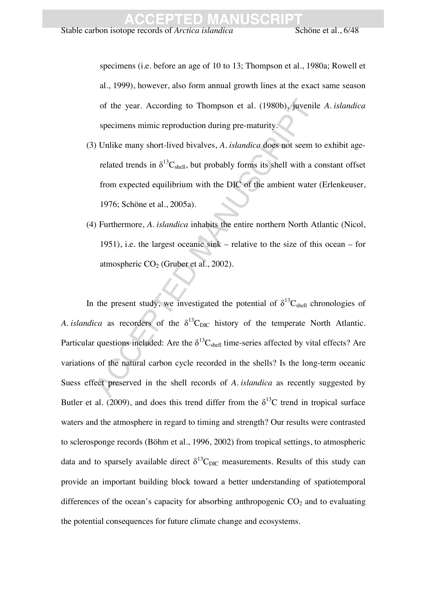specimens (i.e. before an age of 10 to 13; Thompson et al., 1980a; Rowell et al., 1999), however, also form annual growth lines at the exact same season of the year. According to Thompson et al. (1980b), juvenile *A. islandica* specimens mimic reproduction during pre-maturity.

- (3) Unlike many short-lived bivalves, *A. islandica* does not seem to exhibit agerelated trends in  $\delta^{13}C_{shell}$ , but probably forms its shell with a constant offset from expected equilibrium with the DIC of the ambient water (Erlenkeuser, 1976; Schöne et al., 2005a).
- (4) Furthermore, *A. islandica* inhabits the entire northern North Atlantic (Nicol, 1951), i.e. the largest oceanic sink – relative to the size of this ocean – for atmospheric  $CO<sub>2</sub>$  (Gruber et al., 2002).

of the year. According to Thompson et al. (1980b), juveni<br>specimens mimic reproduction during pre-maturity.<br>
) Unlike many short-lived bivalves, A. *islandica* does not seem<br>related trends in  $\delta^{13}C_{shell}$ , but probably fo In the present study, we investigated the potential of  $\delta^{13}C_{shell}$  chronologies of *A. islandica* as recorders of the  $\delta^{13}C_{\text{DIC}}$  history of the temperate North Atlantic. Particular questions included: Are the  $\delta^{13}C_{shell}$  time-series affected by vital effects? Are variations of the natural carbon cycle recorded in the shells? Is the long-term oceanic Suess effect preserved in the shell records of *A. islandica* as recently suggested by Butler et al. (2009), and does this trend differ from the  $\delta^{13}$ C trend in tropical surface waters and the atmosphere in regard to timing and strength? Our results were contrasted to sclerosponge records (Böhm et al., 1996, 2002) from tropical settings, to atmospheric data and to sparsely available direct  $\delta^{13}C_{\text{DIC}}$  measurements. Results of this study can provide an important building block toward a better understanding of spatiotemporal differences of the ocean's capacity for absorbing anthropogenic  $CO<sub>2</sub>$  and to evaluating the potential consequences for future climate change and ecosystems.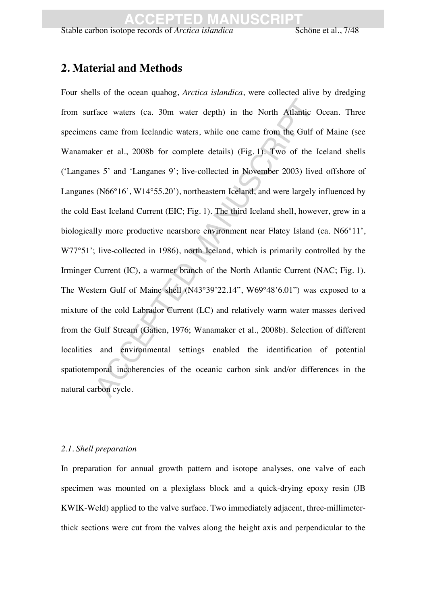### **2. Material and Methods**

face waters (ca. 30m water depth) in the North Atlantic<br>s came from Icelandic waters, while one came from the Gulf<br>ser et al., 2008b for complete details) (Fig. 1). Two of the<br>ses 5' and 'Langanes 9'; live-collected in Nov Four shells of the ocean quahog, *Arctica islandica*, were collected alive by dredging from surface waters (ca. 30m water depth) in the North Atlantic Ocean. Three specimens came from Icelandic waters, while one came from the Gulf of Maine (see Wanamaker et al., 2008b for complete details) (Fig. 1). Two of the Iceland shells ('Langanes 5' and 'Langanes 9'; live-collected in November 2003) lived offshore of Langanes (N66°16', W14°55.20'), northeastern Iceland, and were largely influenced by the cold East Iceland Current (EIC; Fig. 1). The third Iceland shell, however, grew in a biologically more productive nearshore environment near Flatey Island (ca. N66°11', W77°51'; live-collected in 1986), north Iceland, which is primarily controlled by the Irminger Current (IC), a warmer branch of the North Atlantic Current (NAC; Fig. 1). The Western Gulf of Maine shell (N43°39'22.14", W69°48'6.01") was exposed to a mixture of the cold Labrador Current (LC) and relatively warm water masses derived from the Gulf Stream (Gatien, 1976; Wanamaker et al., 2008b). Selection of different localities and environmental settings enabled the identification of potential spatiotemporal incoherencies of the oceanic carbon sink and/or differences in the natural carbon cycle.

#### *2.1. Shell preparation*

In preparation for annual growth pattern and isotope analyses, one valve of each specimen was mounted on a plexiglass block and a quick-drying epoxy resin (JB KWIK-Weld) applied to the valve surface. Two immediately adjacent, three-millimeterthick sections were cut from the valves along the height axis and perpendicular to the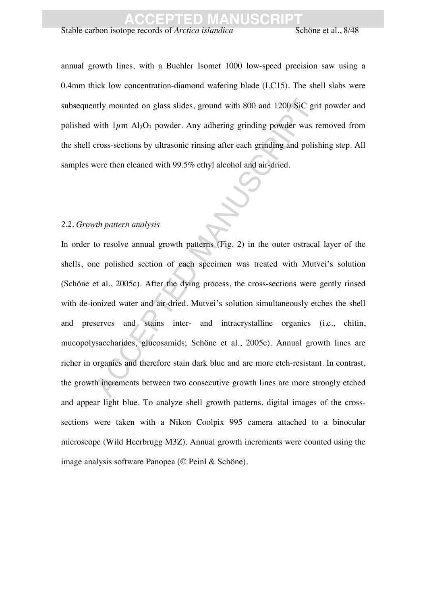Stable carbon isotope records of *Arctica islandica* Schöne et al., 8/48

annual growth lines, with a Buehler Isomet 1000 low-speed precision saw using a 0.4mm thick low concentration-diamond wafering blade (LC15). The shell slabs were subsequently mounted on glass slides, ground with 800 and 1200 SiC grit powder and polished with  $1\mu$ m Al<sub>2</sub>O<sub>3</sub> powder. Any adhering grinding powder was removed from the shell cross-sections by ultrasonic rinsing after each grinding and polishing step. All samples were then cleaned with 99.5% ethyl alcohol and air-dried.

#### *2.2. Growth pattern analysis*

multy mounted on glass slides, ground with 800 and 1200 SiC g<br>with  $1\mu$ m Al<sub>2</sub>O<sub>3</sub> powder. Any adhering grinding powder was<br>cross-sections by ultrasonic rinsing after each grinding and pol<br>vere then cleaned with 99.5% et In order to resolve annual growth patterns (Fig. 2) in the outer ostracal layer of the shells, one polished section of each specimen was treated with Mutvei's solution (Schöne et al., 2005c). After the dying process, the cross-sections were gently rinsed with de-ionized water and air-dried. Mutvei's solution simultaneously etches the shell and preserves and stains inter- and intracrystalline organics (i.e., chitin, mucopolysaccharides, glucosamids; Schöne et al., 2005c). Annual growth lines are richer in organics and therefore stain dark blue and are more etch-resistant. In contrast, the growth increments between two consecutive growth lines are more strongly etched and appear light blue. To analyze shell growth patterns, digital images of the crosssections were taken with a Nikon Coolpix 995 camera attached to a binocular microscope (Wild Heerbrugg M3Z). Annual growth increments were counted using the image analysis software Panopea (© Peinl & Schöne).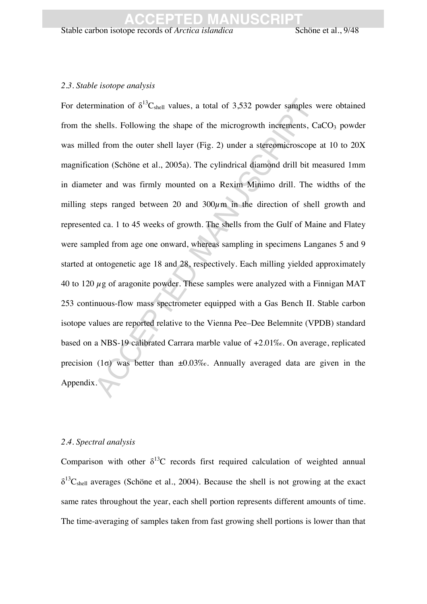#### *2.3. Stable isotope analysis*

mination of  $\delta^{13}$ C<sub>shell</sub> values, a total of 3,532 powder samples<br>shells. Following the shape of the microgrowth increments, the shells. Following the shape of the microgrowth increments, the different manuscrian Manus For determination of  $\delta^{13}C_{shell}$  values, a total of 3,532 powder samples were obtained from the shells. Following the shape of the microgrowth increments,  $CaCO<sub>3</sub>$  powder was milled from the outer shell layer (Fig. 2) under a stereomicroscope at 10 to 20X magnification (Schöne et al., 2005a). The cylindrical diamond drill bit measured 1mm in diameter and was firmly mounted on a Rexim Minimo drill. The widths of the milling steps ranged between 20 and  $300 \mu m$  in the direction of shell growth and represented ca. 1 to 45 weeks of growth. The shells from the Gulf of Maine and Flatey were sampled from age one onward, whereas sampling in specimens Langanes 5 and 9 started at ontogenetic age 18 and 28, respectively. Each milling yielded approximately 40 to 120  $\mu$ g of aragonite powder. These samples were analyzed with a Finnigan MAT 253 continuous-flow mass spectrometer equipped with a Gas Bench II. Stable carbon isotope values are reported relative to the Vienna Pee–Dee Belemnite (VPDB) standard based on a NBS-19 calibrated Carrara marble value of +2.01‰. On average, replicated precision (1 $\sigma$ ) was better than  $\pm 0.03\%$ . Annually averaged data are given in the Appendix.

#### *2.4. Spectral analysis*

Comparison with other  $\delta^{13}$ C records first required calculation of weighted annual  $\delta^{13}C_{shell}$  averages (Schöne et al., 2004). Because the shell is not growing at the exact same rates throughout the year, each shell portion represents different amounts of time. The time-averaging of samples taken from fast growing shell portions is lower than that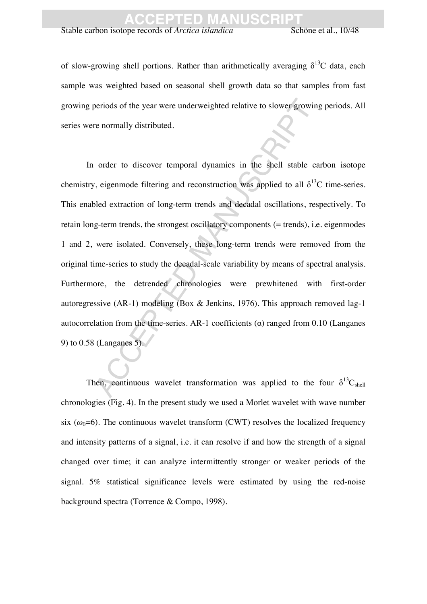Stable carbon isotope records of *Arctica islandica* Schöne et al., 10/48

of slow-growing shell portions. Rather than arithmetically averaging  $\delta^{13}C$  data, each sample was weighted based on seasonal shell growth data so that samples from fast growing periods of the year were underweighted relative to slower growing periods. All series were normally distributed.

beriods of the year were underweighted relative to slower growing<br>the normally distributed.<br>
The shell stable order to discover temporal dynamics in the shell stable<br>
or, eigenmode filtering and reconstruction was applied In order to discover temporal dynamics in the shell stable carbon isotope chemistry, eigenmode filtering and reconstruction was applied to all  $\delta^{13}C$  time-series. This enabled extraction of long-term trends and decadal oscillations, respectively. To retain long-term trends, the strongest oscillatory components (= trends), i.e. eigenmodes 1 and 2, were isolated. Conversely, these long-term trends were removed from the original time-series to study the decadal-scale variability by means of spectral analysis. Furthermore, the detrended chronologies were prewhitened with first-order autoregressive (AR-1) modeling (Box & Jenkins, 1976). This approach removed lag-1 autocorrelation from the time-series. AR-1 coefficients  $(\alpha)$  ranged from 0.10 (Langanes 9) to 0.58 (Langanes 5).

Then, continuous wavelet transformation was applied to the four  $\delta^{13}C_{shell}$ chronologies (Fig. 4). In the present study we used a Morlet wavelet with wave number six  $(\omega_0=6)$ . The continuous wavelet transform (CWT) resolves the localized frequency and intensity patterns of a signal, i.e. it can resolve if and how the strength of a signal changed over time; it can analyze intermittently stronger or weaker periods of the signal. 5% statistical significance levels were estimated by using the red-noise background spectra (Torrence & Compo, 1998).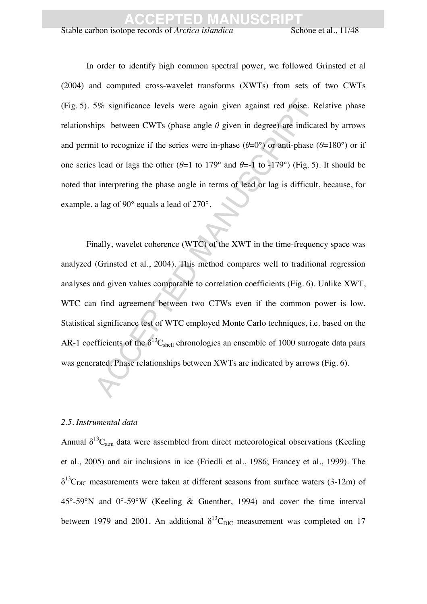Stable carbon isotope records of *Arctica islandica* Schöne et al., 11/48

In order to identify high common spectral power, we followed Grinsted et al (2004) and computed cross-wavelet transforms (XWTs) from sets of two CWTs (Fig. 5). 5% significance levels were again given against red noise. Relative phase relationships between CWTs (phase angle  $\theta$  given in degree) are indicated by arrows and permit to recognize if the series were in-phase  $(\theta=0^{\circ})$  or anti-phase  $(\theta=180^{\circ})$  or if one series lead or lags the other  $(\theta=1$  to 179° and  $\theta=-1$  to -179°) (Fig. 5). It should be noted that interpreting the phase angle in terms of lead or lag is difficult, because, for example, a lag of 90° equals a lead of 270°.

5% significance levels were again given against red noise.<br>
significance levels were again given in degree) are indict to recognize if the series were in-phase ( $\theta$ =0°) or anti-phase<br>
s lead or lags the other ( $\theta$ =1 to Finally, wavelet coherence (WTC) of the XWT in the time-frequency space was analyzed (Grinsted et al., 2004). This method compares well to traditional regression analyses and given values comparable to correlation coefficients (Fig. 6). Unlike XWT, WTC can find agreement between two CTWs even if the common power is low. Statistical significance test of WTC employed Monte Carlo techniques, i.e. based on the AR-1 coefficients of the  $\delta^{13}C_{shell}$  chronologies an ensemble of 1000 surrogate data pairs was generated. Phase relationships between XWTs are indicated by arrows (Fig. 6).

#### *2.5. Instrumental data*

Annual  $\delta^{13}C_{\text{atm}}$  data were assembled from direct meteorological observations (Keeling et al., 2005) and air inclusions in ice (Friedli et al., 1986; Francey et al., 1999). The  $\delta^{13}C_{\text{DIC}}$  measurements were taken at different seasons from surface waters (3-12m) of 45°-59°N and 0°-59°W (Keeling & Guenther, 1994) and cover the time interval between 1979 and 2001. An additional  $\delta^{13}C_{\text{DIC}}$  measurement was completed on 17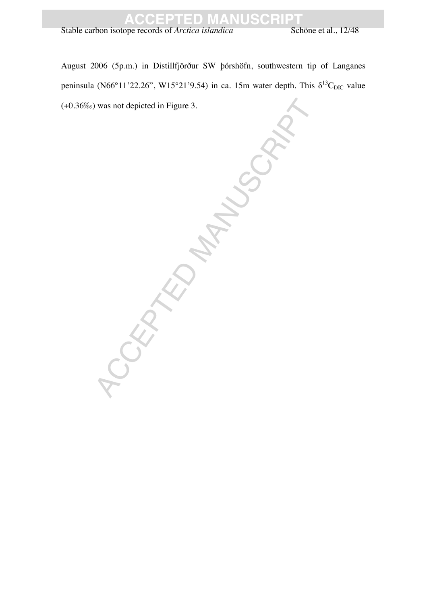Stable carbon isotope records of *Arctica islandica* Schöne et al., 12/48

August 2006 (5p.m.) in Distillfjörður SW þórshöfn, southwestern tip of Langanes peninsula (N66°11'22.26", W15°21'9.54) in ca. 15m water depth. This  $\delta^{13}C_{\text{DIC}}$  value (+0.36‰) was not depicted in Figure 3.

CEPTED MANUSCRIPT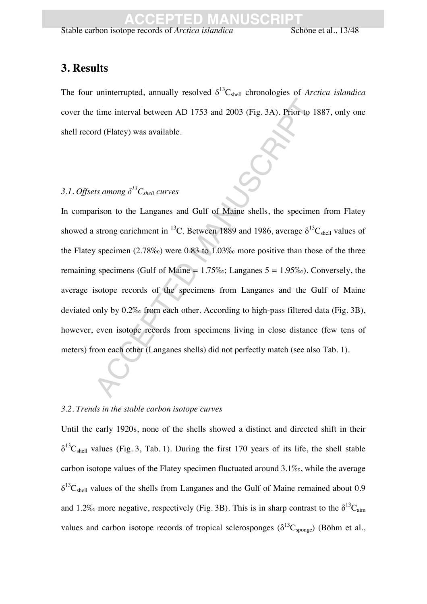### **3. Results**

The four uninterrupted, annually resolved  $\delta^{13}C_{shell}$  chronologies of *Arctica islandica* cover the time interval between AD 1753 and 2003 (Fig. 3A). Prior to 1887, only one shell record (Flatey) was available.

#### 3.1. Offsets among  $\delta^{13}C_{shell}$  curves

time interval between AD 1753 and 2003 (Fig. 3A). Prior to rd (Flatey) was available.<br>
Ats among  $\delta^{13}C_{shell}$  curves<br>
the samong  $\delta^{13}C_{shell}$  curves<br>
trison to the Langanes and Gulf of Maine shells, the specime<br>
strong en In comparison to the Langanes and Gulf of Maine shells, the specimen from Flatey showed a strong enrichment in <sup>13</sup>C. Between 1889 and 1986, average  $\delta^{13}C_{shell}$  values of the Flatey specimen (2.78‰) were 0.83 to 1.03‰ more positive than those of the three remaining specimens (Gulf of Maine =  $1.75\%$ ; Langanes  $5 = 1.95\%$ ). Conversely, the average isotope records of the specimens from Langanes and the Gulf of Maine deviated only by 0.2‰ from each other. According to high-pass filtered data (Fig. 3B), however, even isotope records from specimens living in close distance (few tens of meters) from each other (Langanes shells) did not perfectly match (see also Tab. 1).

#### *3.2. Trends in the stable carbon isotope curves*

Until the early 1920s, none of the shells showed a distinct and directed shift in their  $\delta^{13}C_{shell}$  values (Fig. 3, Tab. 1). During the first 170 years of its life, the shell stable carbon isotope values of the Flatey specimen fluctuated around 3.1‰, while the average  $\delta^{13}$ C<sub>shell</sub> values of the shells from Langanes and the Gulf of Maine remained about 0.9 and 1.2% more negative, respectively (Fig. 3B). This is in sharp contrast to the  $\delta^{13}C_{\text{atm}}$ values and carbon isotope records of tropical sclerosponges ( $\delta^{13}C_{\text{sono}}$ ) (Böhm et al.,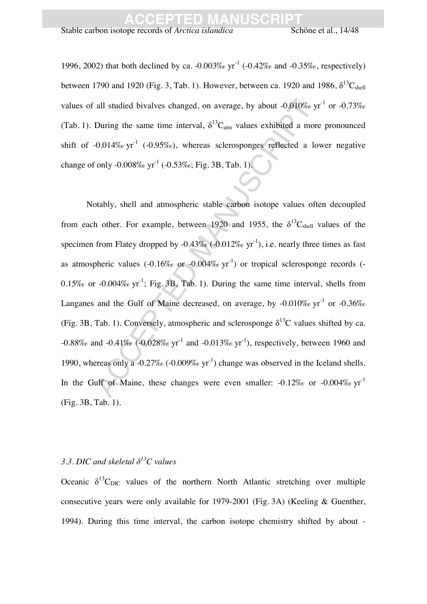Stable carbon isotope records of *Arctica islandica* Schöne et al., 14/48

1996, 2002) that both declined by ca. -0.003‰  $yr^{-1}$  (-0.42‰ and -0.35‰, respectively) between 1790 and 1920 (Fig. 3, Tab. 1). However, between ca. 1920 and 1986,  $\delta^{13}C_{shell}$ values of all studied bivalves changed, on average, by about -0.010‰  $yr^{-1}$  or -0.73‰ (Tab. 1). During the same time interval,  $\delta^{13}C_{\text{atm}}$  values exhibited a more pronounced shift of  $-0.014\%$  yr<sup>-1</sup> ( $-0.95\%$ ), whereas sclerosponges reflected a lower negative change of only  $-0.008\%$  yr<sup>-1</sup>  $(-0.53\%$ ; Fig. 3B, Tab. 1).

all studied bivalves changed, on average, by about -0.010%<br>
During the same time interval,  $\delta^{13}C_{\text{atm}}$  values exhibited a mc<br>
-0.014% yr<sup>-1</sup> (-0.95%), whereas sclerosponges reflected a l<br>
i only -0.008% yr<sup>-1</sup> (-0.53 Notably, shell and atmospheric stable carbon isotope values often decoupled from each other. For example, between 1920 and 1955, the  $\delta^{13}C_{shell}$  values of the specimen from Flatey dropped by  $-0.43\%$  ( $-0.012\%$  yr<sup>-1</sup>), i.e. nearly three times as fast as atmospheric values  $(-0.16\% \text{ or } -0.004\% \text{ or } t)$  or tropical sclerosponge records  $(-$ 0.15‰ or  $-0.004\%$  yr<sup>-1</sup>; Fig. 3B, Tab. 1). During the same time interval, shells from Langanes and the Gulf of Maine decreased, on average, by -0.010‰  $yr^{-1}$  or -0.36‰ (Fig. 3B, Tab. 1). Conversely, atmospheric and sclerosponge  $\delta^{13}$ C values shifted by ca.  $-0.88\%$  and  $-0.41\%$  ( $-0.028\%$  yr<sup>-1</sup> and  $-0.013\%$  yr<sup>-1</sup>), respectively, between 1960 and 1990, whereas only a -0.27‰ (-0.009‰  $yr^{-1}$ ) change was observed in the Iceland shells. In the Gulf of Maine, these changes were even smaller:  $-0.12\%$  or  $-0.004\%$  vr<sup>-1</sup> (Fig. 3B, Tab. 1).

#### 3.3. DIC and skeletal  $\delta^{13}$ C values

Oceanic  $\delta^{13}C_{\text{DIC}}$  values of the northern North Atlantic stretching over multiple consecutive years were only available for 1979-2001 (Fig. 3A) (Keeling & Guenther, 1994). During this time interval, the carbon isotope chemistry shifted by about -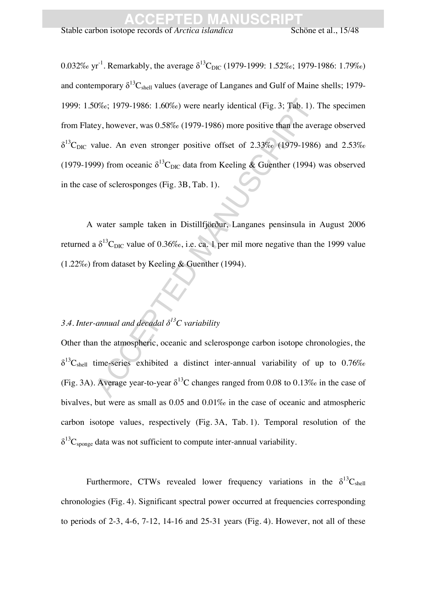0%c; 1979-1986: 1.60%c) were nearly identical (Fig. 3; Tab. 1)<br>ey, however, was 0.58%c (1979-1986) more positive than the avalue. An even stronger positive offset of 2.33%c (1979-198<br>99) from oceanic  $\delta^{13}C_{\text{DIC}}$  data 0.032‰ yr<sup>-1</sup>. Remarkably, the average  $\delta^{13}C_{\text{DIC}}$  (1979-1999: 1.52‰; 1979-1986: 1.79‰) and contemporary  $\delta^{13}C_{shell}$  values (average of Langanes and Gulf of Maine shells; 1979-1999: 1.50‰; 1979-1986: 1.60‰) were nearly identical (Fig. 3; Tab. 1). The specimen from Flatey, however, was 0.58‰ (1979-1986) more positive than the average observed  $\delta^{13}C_{\text{DIC}}$  value. An even stronger positive offset of 2.33‰ (1979-1986) and 2.53‰ (1979-1999) from oceanic  $\delta^{13}C_{\text{DIC}}$  data from Keeling & Guenther (1994) was observed in the case of sclerosponges (Fig. 3B, Tab. 1).

A water sample taken in Distillfjörður, Langanes pensinsula in August 2006 returned a  $\delta^{13}$ C<sub>DIC</sub> value of 0.36‰, i.e. ca. 1 per mil more negative than the 1999 value (1.22‰) from dataset by Keeling & Guenther (1994).

#### 3.4. Inter-annual and decadal  $\delta^{13}$ C variability

Other than the atmospheric, oceanic and sclerosponge carbon isotope chronologies, the  $\delta^{13}$ C<sub>shell</sub> time-series exhibited a distinct inter-annual variability of up to 0.76‰ (Fig. 3A). Average year-to-year  $\delta^{13}$ C changes ranged from 0.08 to 0.13‰ in the case of bivalves, but were as small as 0.05 and 0.01‰ in the case of oceanic and atmospheric carbon isotope values, respectively (Fig. 3A, Tab. 1). Temporal resolution of the  $\delta^{13}C_{\text{sponge}}$  data was not sufficient to compute inter-annual variability.

Furthermore, CTWs revealed lower frequency variations in the  $\delta^{13}C_{shell}$ chronologies (Fig. 4). Significant spectral power occurred at frequencies corresponding to periods of  $2-3$ ,  $4-6$ ,  $7-12$ ,  $14-16$  and  $25-31$  years (Fig. 4). However, not all of these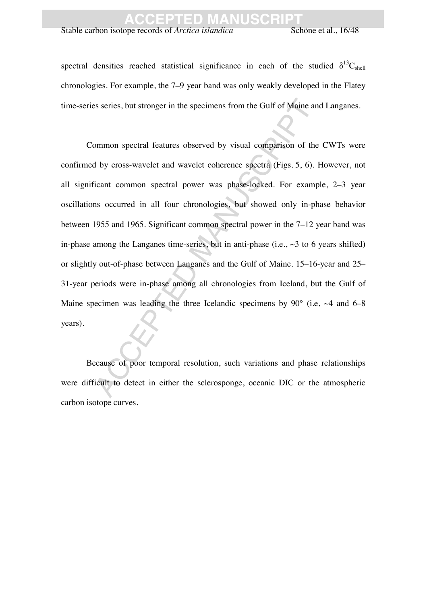Stable carbon isotope records of *Arctica islandica* Schöne et al., 16/48

spectral densities reached statistical significance in each of the studied  $\delta^{13}C_{shell}$ chronologies. For example, the 7–9 year band was only weakly developed in the Flatey time-series series, but stronger in the specimens from the Gulf of Maine and Langanes.

Exercises, but stronger in the specimens from the Gulf of Maine and<br>
Dream of the speciments observed by visual comparison of the dumber of the dumber of the dumber of the dumber of the dumber of the speciment of the spec Common spectral features observed by visual comparison of the CWTs were confirmed by cross-wavelet and wavelet coherence spectra (Figs. 5, 6). However, not all significant common spectral power was phase-locked. For example, 2–3 year oscillations occurred in all four chronologies, but showed only in-phase behavior between 1955 and 1965. Significant common spectral power in the 7–12 year band was in-phase among the Langanes time-series, but in anti-phase (i.e.,  $\sim$ 3 to 6 years shifted) or slightly out-of-phase between Langanes and the Gulf of Maine. 15–16-year and 25– 31-year periods were in-phase among all chronologies from Iceland, but the Gulf of Maine specimen was leading the three Icelandic specimens by  $90^{\circ}$  (i.e.  $\sim$  4 and 6–8 years).

Because of poor temporal resolution, such variations and phase relationships were difficult to detect in either the sclerosponge, oceanic DIC or the atmospheric carbon isotope curves.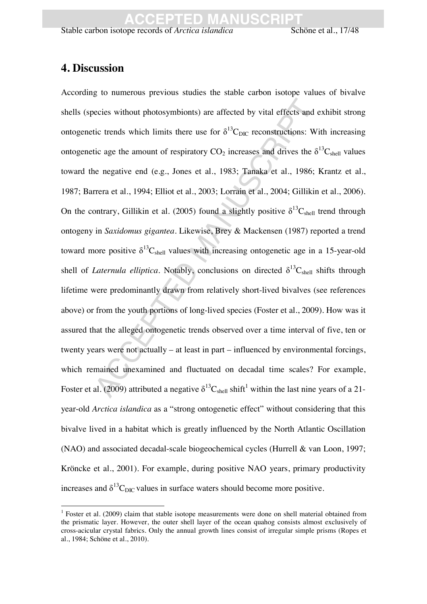Stable carbon isotope records of *Arctica islandica* Schöne et al., 17/48

### **4. Discussion**

 $\overline{a}$ 

ecies without photosymbionts) are affected by vital effects and<br>tic trends which limits there use for  $\delta^{13}C_{\text{DIC}}$  reconstructions: V<br>tic age the amount of respiratory CO<sub>2</sub> increases and drives the<br>ne negative end (e. According to numerous previous studies the stable carbon isotope values of bivalve shells (species without photosymbionts) are affected by vital effects and exhibit strong ontogenetic trends which limits there use for  $\delta^{13}C_{\text{DIC}}$  reconstructions: With increasing ontogenetic age the amount of respiratory  $CO_2$  increases and drives the  $\delta^{13}C_{shell}$  values toward the negative end (e.g., Jones et al., 1983; Tanaka et al., 1986; Krantz et al., 1987; Barrera et al., 1994; Elliot et al., 2003; Lorrain et al., 2004; Gillikin et al., 2006). On the contrary, Gillikin et al. (2005) found a slightly positive  $\delta^{13}C_{shell}$  trend through ontogeny in *Saxidomus gigantea*. Likewise, Brey & Mackensen (1987) reported a trend toward more positive  $\delta^{13}C_{shell}$  values with increasing ontogenetic age in a 15-year-old shell of *Laternula elliptica*. Notably, conclusions on directed  $\delta^{13}C_{shell}$  shifts through lifetime were predominantly drawn from relatively short-lived bivalves (see references above) or from the youth portions of long-lived species (Foster et al., 2009). How was it assured that the alleged ontogenetic trends observed over a time interval of five, ten or twenty years were not actually – at least in part – influenced by environmental forcings, which remained unexamined and fluctuated on decadal time scales? For example, Foster et al. (2009) attributed a negative  $\delta^{13}C_{shell}$  shift<sup>1</sup> within the last nine years of a 21year-old *Arctica islandica* as a "strong ontogenetic effect" without considering that this bivalve lived in a habitat which is greatly influenced by the North Atlantic Oscillation (NAO) and associated decadal-scale biogeochemical cycles (Hurrell & van Loon, 1997; Kröncke et al., 2001). For example, during positive NAO years, primary productivity increases and  $\delta^{13}C_{\text{DIC}}$  values in surface waters should become more positive.

<sup>&</sup>lt;sup>1</sup> Foster et al. (2009) claim that stable isotope measurements were done on shell material obtained from the prismatic layer. However, the outer shell layer of the ocean quahog consists almost exclusively of cross-acicular crystal fabrics. Only the annual growth lines consist of irregular simple prisms (Ropes et al., 1984; Schöne et al., 2010).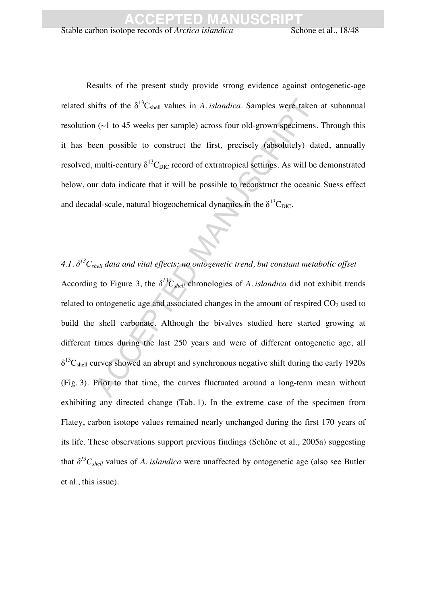Results of the present study provide strong evidence against ontogenetic-age related shifts of the  $\delta^{13}C_{shell}$  values in *A. islandica*. Samples were taken at subannual resolution  $(\sim)$  to 45 weeks per sample) across four old-grown specimens. Through this it has been possible to construct the first, precisely (absolutely) dated, annually resolved, multi-century  $\delta^{13}C_{\text{DIC}}$  record of extratropical settings. As will be demonstrated below, our data indicate that it will be possible to reconstruct the oceanic Suess effect and decadal-scale, natural biogeochemical dynamics in the  $\delta^{13}C_{\text{DIC}}$ .

tifts of the  $δ<sup>13</sup>C<sub>shell</sub>$  values in *A. islandica.* Samples were take<br>
1 (~1 to 45 weeks per sample) across four old-grown specimen<br>
2nd possible to construct the first, precisely (absolutely) d<br>
multi-century  $δ$ 4.1.  $\delta^{13}C_{shell}$  data and vital effects: no ontogenetic trend, but constant metabolic offset According to Figure 3, the  $\delta^{13}C_{shell}$  chronologies of *A. islandica* did not exhibit trends related to ontogenetic age and associated changes in the amount of respired  $CO<sub>2</sub>$  used to build the shell carbonate. Although the bivalves studied here started growing at different times during the last 250 years and were of different ontogenetic age, all  $\delta^{13}$ C<sub>shell</sub> curves showed an abrupt and synchronous negative shift during the early 1920s (Fig. 3). Prior to that time, the curves fluctuated around a long-term mean without exhibiting any directed change (Tab. 1). In the extreme case of the specimen from Flatey, carbon isotope values remained nearly unchanged during the first 170 years of its life. These observations support previous findings (Schöne et al., 2005a) suggesting that  $\delta^{13}C_{shell}$  values of *A. islandica* were unaffected by ontogenetic age (also see Butler et al., this issue).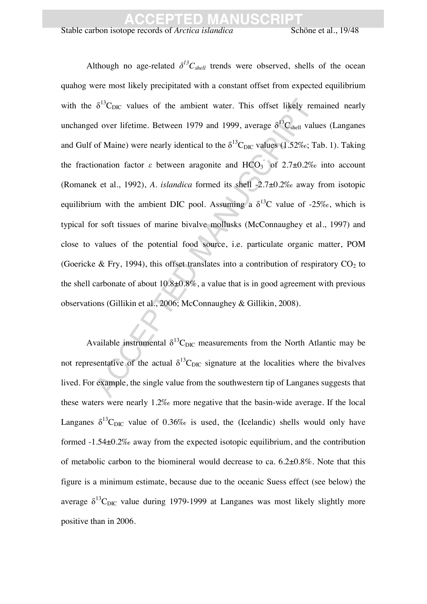Stable carbon isotope records of *Arctica islandica* Schöne et al., 19/48

 $\delta^{13}$ C<sub>DIC</sub> values of the ambient water. This offset likely red over lifetime. Between 1979 and 1999, average  $\delta^{13}$ C<sub>abell</sub> va of Maine) were nearly identical to the  $\delta^{13}$ C<sub>DIC</sub> values (1.52%c; onation factor  $\vare$ Although no age-related  $\delta^{13}C_{shell}$  trends were observed, shells of the ocean quahog were most likely precipitated with a constant offset from expected equilibrium with the  $\delta^{13}C_{\text{DIC}}$  values of the ambient water. This offset likely remained nearly unchanged over lifetime. Between 1979 and 1999, average  $\delta^{13}C_{shell}$  values (Langanes and Gulf of Maine) were nearly identical to the  $\delta^{13}C_{\text{DIC}}$  values (1.52‰; Tab. 1). Taking the fractionation factor  $\varepsilon$  between aragonite and HCO<sub>3</sub> of 2.7±0.2‰ into account (Romanek et al., 1992), *A. islandica* formed its shell -2.7±0.2‰ away from isotopic equilibrium with the ambient DIC pool. Assuming a  $\delta^{13}$ C value of -25‰, which is typical for soft tissues of marine bivalve mollusks (McConnaughey et al., 1997) and close to values of the potential food source, i.e. particulate organic matter, POM (Goericke & Fry, 1994), this offset translates into a contribution of respiratory  $CO<sub>2</sub>$  to the shell carbonate of about  $10.8\pm0.8\%$ , a value that is in good agreement with previous observations (Gillikin et al., 2006; McConnaughey & Gillikin, 2008).

Available instrumental  $\delta^{13}C_{\text{DIC}}$  measurements from the North Atlantic may be not representative of the actual  $\delta^{13}C_{\text{DIC}}$  signature at the localities where the bivalves lived. For example, the single value from the southwestern tip of Langanes suggests that these waters were nearly 1.2‰ more negative that the basin-wide average. If the local Langanes  $\delta^{13}C_{\text{DIC}}$  value of 0.36‰ is used, the (Icelandic) shells would only have formed -1.54±0.2‰ away from the expected isotopic equilibrium, and the contribution of metabolic carbon to the biomineral would decrease to ca. 6.2±0.8%. Note that this figure is a minimum estimate, because due to the oceanic Suess effect (see below) the average  $\delta^{13}C_{\text{DIC}}$  value during 1979-1999 at Langanes was most likely slightly more positive than in 2006.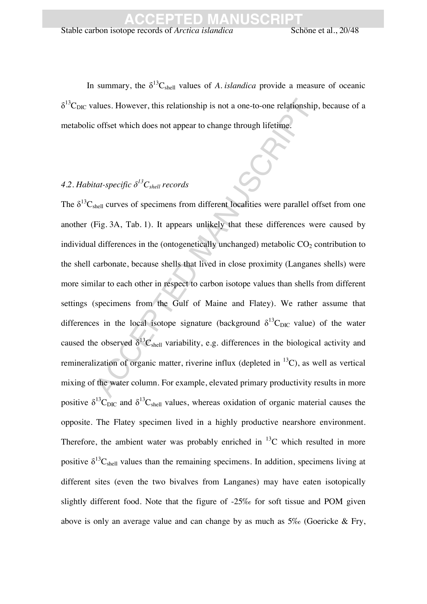In summary, the  $\delta^{13}C_{shell}$  values of *A. islandica* provide a measure of oceanic  $\delta^{13}$ C<sub>DIC</sub> values. However, this relationship is not a one-to-one relationship, because of a metabolic offset which does not appear to change through lifetime.

### 4.2. Habitat-specific  $\delta^{13}C_{shell}$  records

alues. However, this relationship is not a one-to-one relationship<br>
coffset which does not appear to change through lifetime.<br>
tat-specific  $\delta^{l,3}C_{shell}$  records<br>
tat-specific  $\delta^{l,3}C_{shell}$  records<br>
the control of the con The  $\delta^{13}C_{shell}$  curves of specimens from different localities were parallel offset from one another (Fig. 3A, Tab. 1). It appears unlikely that these differences were caused by individual differences in the (ontogenetically unchanged) metabolic  $CO<sub>2</sub>$  contribution to the shell carbonate, because shells that lived in close proximity (Langanes shells) were more similar to each other in respect to carbon isotope values than shells from different settings (specimens from the Gulf of Maine and Flatey). We rather assume that differences in the local isotope signature (background  $\delta^{13}C_{\text{DIC}}$  value) of the water caused the observed  $\delta^{13}C_{shell}$  variability, e.g. differences in the biological activity and remineralization of organic matter, riverine influx (depleted in  ${}^{13}$ C), as well as vertical mixing of the water column. For example, elevated primary productivity results in more positive  $\delta^{13}C_{\text{DIC}}$  and  $\delta^{13}C_{\text{shell}}$  values, whereas oxidation of organic material causes the opposite. The Flatey specimen lived in a highly productive nearshore environment. Therefore, the ambient water was probably enriched in  $^{13}$ C which resulted in more positive  $\delta^{13}C_{shell}$  values than the remaining specimens. In addition, specimens living at different sites (even the two bivalves from Langanes) may have eaten isotopically slightly different food. Note that the figure of -25‰ for soft tissue and POM given above is only an average value and can change by as much as  $5\%$  (Goericke & Fry,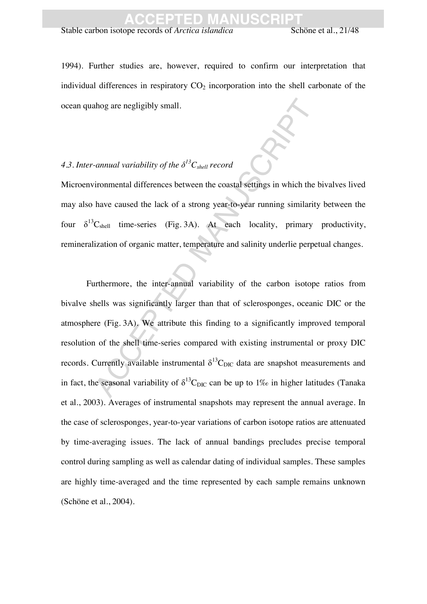Stable carbon isotope records of *Arctica islandica* Schöne et al., 21/48

1994). Further studies are, however, required to confirm our interpretation that individual differences in respiratory  $CO<sub>2</sub>$  incorporation into the shell carbonate of the ocean quahog are negligibly small.

### 4.3. Inter-annual variability of the  $\delta^{13}C_{shell}$  record

Microenvironmental differences between the coastal settings in which the bivalves lived may also have caused the lack of a strong year-to-year running similarity between the four  $\delta^{13}C_{shell}$  time-series (Fig. 3A). At each locality, primary productivity, remineralization of organic matter, temperature and salinity underlie perpetual changes.

*annual variability of the*  $\delta^{13}C_{shell}$  *record*<br> *annual variability of the*  $\delta^{13}C_{shell}$  *record*<br> *iromental differences between the coastal settings in which the*<br> *have caused the lack of a strong year-to-year runni* Furthermore, the inter-annual variability of the carbon isotope ratios from bivalve shells was significantly larger than that of sclerosponges, oceanic DIC or the atmosphere (Fig. 3A). We attribute this finding to a significantly improved temporal resolution of the shell time-series compared with existing instrumental or proxy DIC records. Currently available instrumental  $\delta^{13}C_{\text{DIC}}$  data are snapshot measurements and in fact, the seasonal variability of  $\delta^{13}C_{\text{DIC}}$  can be up to 1‰ in higher latitudes (Tanaka et al., 2003). Averages of instrumental snapshots may represent the annual average. In the case of sclerosponges, year-to-year variations of carbon isotope ratios are attenuated by time-averaging issues. The lack of annual bandings precludes precise temporal control during sampling as well as calendar dating of individual samples. These samples are highly time-averaged and the time represented by each sample remains unknown (Schöne et al., 2004).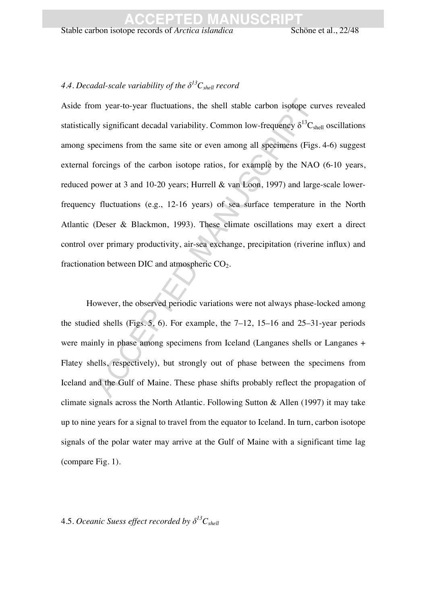#### 4.4. Decadal-scale variability of the  $\delta^{13}C_{shell}$  record

or year-to-year fluctuations, the shell stable carbon isotope c<br>ly significant decadal variability. Common low-frequency  $\delta^{13}$ C<br>occimens from the same site or even among all specimens (Fig<br>forcings of the carbon isotope Aside from year-to-year fluctuations, the shell stable carbon isotope curves revealed statistically significant decadal variability. Common low-frequency  $\delta^{13}C_{shell}$  oscillations among specimens from the same site or even among all specimens (Figs. 4-6) suggest external forcings of the carbon isotope ratios, for example by the NAO (6-10 years, reduced power at 3 and 10-20 years; Hurrell & van Loon, 1997) and large-scale lowerfrequency fluctuations (e.g., 12-16 years) of sea surface temperature in the North Atlantic (Deser & Blackmon, 1993). These climate oscillations may exert a direct control over primary productivity, air-sea exchange, precipitation (riverine influx) and fractionation between DIC and atmospheric  $CO<sub>2</sub>$ .

However, the observed periodic variations were not always phase-locked among the studied shells (Figs. 5, 6). For example, the 7–12, 15–16 and 25–31-year periods were mainly in phase among specimens from Iceland (Langanes shells or Langanes + Flatey shells, respectively), but strongly out of phase between the specimens from Iceland and the Gulf of Maine. These phase shifts probably reflect the propagation of climate signals across the North Atlantic. Following Sutton & Allen (1997) it may take up to nine years for a signal to travel from the equator to Iceland. In turn, carbon isotope signals of the polar water may arrive at the Gulf of Maine with a significant time lag (compare Fig. 1).

#### 4.5. *Oceanic Suess effect recorded by*  $\delta^{13}C_{shell}$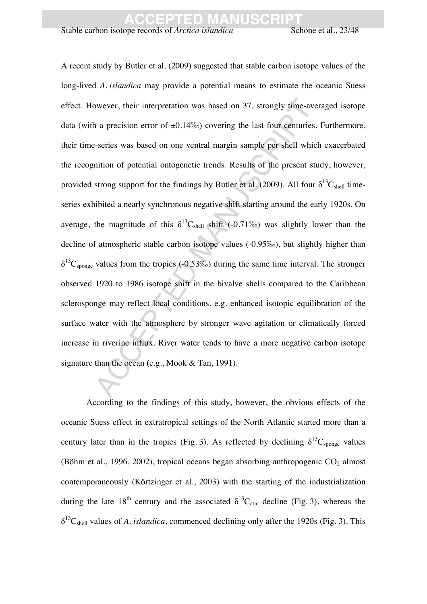Stable carbon isotope records of *Arctica islandica* Schöne et al., 23/48

observer, their interpretation was based on 37, strongly time-averally a precision error of  $\pm 0.14\%$  covering the last four centuries exercies was based on one ventral margin sample per shell while mition of potential A recent study by Butler et al. (2009) suggested that stable carbon isotope values of the long-lived *A. islandica* may provide a potential means to estimate the oceanic Suess effect. However, their interpretation was based on 37, strongly time-averaged isotope data (with a precision error of  $\pm 0.14\%$ ) covering the last four centuries. Furthermore, their time-series was based on one ventral margin sample per shell which exacerbated the recognition of potential ontogenetic trends. Results of the present study, however, provided strong support for the findings by Butler et al. (2009). All four  $\delta^{13}C_{shell}$  timeseries exhibited a nearly synchronous negative shift starting around the early 1920s. On average, the magnitude of this  $\delta^{13}C_{shell}$  shift (-0.71‰) was slightly lower than the decline of atmospheric stable carbon isotope values (-0.95‰), but slightly higher than  $\delta^{13}$ C<sub>sponge</sub> values from the tropics (-0.53‰) during the same time interval. The stronger observed 1920 to 1986 isotope shift in the bivalve shells compared to the Caribbean sclerosponge may reflect local conditions, e.g. enhanced isotopic equilibration of the surface water with the atmosphere by stronger wave agitation or climatically forced increase in riverine influx. River water tends to have a more negative carbon isotope signature than the ocean (e.g., Mook & Tan, 1991).

According to the findings of this study, however, the obvious effects of the oceanic Suess effect in extratropical settings of the North Atlantic started more than a century later than in the tropics (Fig. 3). As reflected by declining  $\delta^{13}C_{\text{sponge}}$  values (Böhm et al., 1996, 2002), tropical oceans began absorbing anthropogenic  $CO<sub>2</sub>$  almost contemporaneously (Körtzinger et al., 2003) with the starting of the industrialization during the late 18<sup>th</sup> century and the associated  $\delta^{13}C_{\text{atm}}$  decline (Fig. 3), whereas the  $\delta^{13}C_{shell}$  values of *A. islandica*, commenced declining only after the 1920s (Fig. 3). This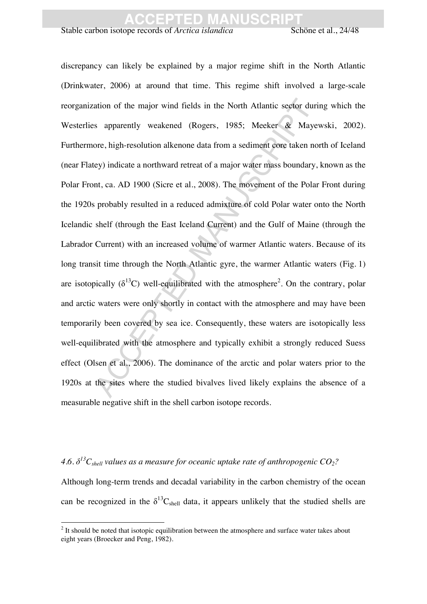Stable carbon isotope records of *Arctica islandica* Schöne et al., 24/48

ation of the major wind fields in the North Atlantic sector du<br>s apparently weakened (Rogers, 1985; Mecker & May<br>ore, high-resolution alkenone data from a sediment core taken r<br>ey) indicate a northward retreat of a major discrepancy can likely be explained by a major regime shift in the North Atlantic (Drinkwater, 2006) at around that time. This regime shift involved a large-scale reorganization of the major wind fields in the North Atlantic sector during which the Westerlies apparently weakened (Rogers, 1985; Meeker & Mayewski, 2002). Furthermore, high-resolution alkenone data from a sediment core taken north of Iceland (near Flatey) indicate a northward retreat of a major water mass boundary, known as the Polar Front, ca. AD 1900 (Sicre et al., 2008). The movement of the Polar Front during the 1920s probably resulted in a reduced admixture of cold Polar water onto the North Icelandic shelf (through the East Iceland Current) and the Gulf of Maine (through the Labrador Current) with an increased volume of warmer Atlantic waters. Because of its long transit time through the North Atlantic gyre, the warmer Atlantic waters (Fig. 1) are isotopically  $(\delta^{13}C)$  well-equilibrated with the atmosphere<sup>2</sup>. On the contrary, polar and arctic waters were only shortly in contact with the atmosphere and may have been temporarily been covered by sea ice. Consequently, these waters are isotopically less well-equilibrated with the atmosphere and typically exhibit a strongly reduced Suess effect (Olsen et al., 2006). The dominance of the arctic and polar waters prior to the 1920s at the sites where the studied bivalves lived likely explains the absence of a measurable negative shift in the shell carbon isotope records.

4.6.  $\delta^{13}C_{shell}$  values as a measure for oceanic uptake rate of anthropogenic CO<sub>2</sub>? Although long-term trends and decadal variability in the carbon chemistry of the ocean can be recognized in the  $\delta^{13}C_{shell}$  data, it appears unlikely that the studied shells are

<sup>&</sup>lt;sup>2</sup> It should be noted that isotopic equilibration between the atmosphere and surface water takes about eight years (Broecker and Peng, 1982).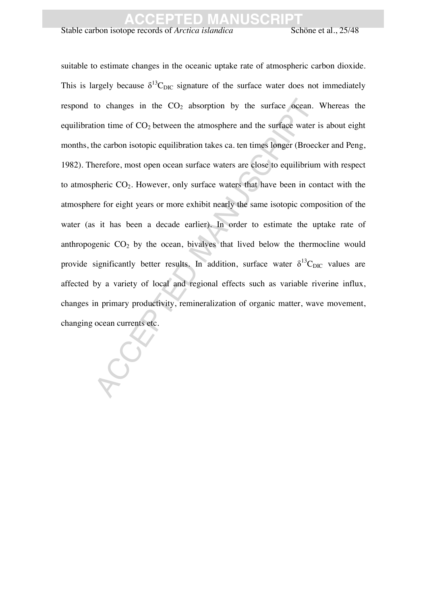Stable carbon isotope records of *Arctica islandica* Schöne et al., 25/48

to changes in the CO<sub>2</sub> absorption by the surface oceans<br>ion time of CO<sub>2</sub> between the atmosphere and the surface wates<br>the carbon isotopic equilibration takes ca. ten times longer (Brocenerefore, most open ocean surface suitable to estimate changes in the oceanic uptake rate of atmospheric carbon dioxide. This is largely because  $\delta^{13}C_{\text{DIC}}$  signature of the surface water does not immediately respond to changes in the  $CO<sub>2</sub>$  absorption by the surface ocean. Whereas the equilibration time of  $CO<sub>2</sub>$  between the atmosphere and the surface water is about eight months, the carbon isotopic equilibration takes ca. ten times longer (Broecker and Peng, 1982). Therefore, most open ocean surface waters are close to equilibrium with respect to atmospheric  $CO<sub>2</sub>$ . However, only surface waters that have been in contact with the atmosphere for eight years or more exhibit nearly the same isotopic composition of the water (as it has been a decade earlier). In order to estimate the uptake rate of anthropogenic  $CO<sub>2</sub>$  by the ocean, bivalves that lived below the thermocline would provide significantly better results. In addition, surface water  $\delta^{13}C_{\text{DIC}}$  values are affected by a variety of local and regional effects such as variable riverine influx, changes in primary productivity, remineralization of organic matter, wave movement, changing ocean currents etc.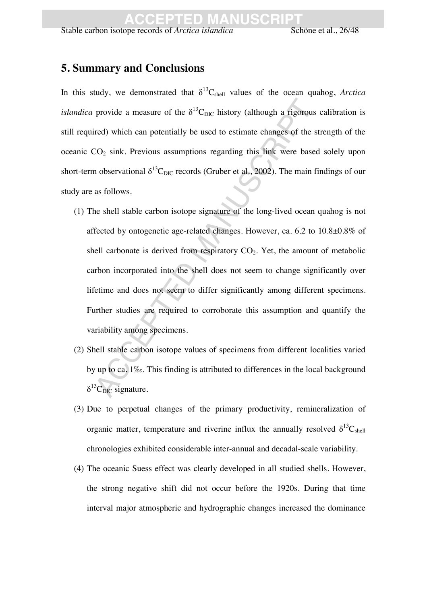Stable carbon isotope records of *Arctica islandica* Schöne et al., 26/48

### **5. Summary and Conclusions**

In this study, we demonstrated that  $\delta^{13}C_{shell}$  values of the ocean quahog, *Arctica islandica* provide a measure of the  $\delta^{13}C_{\text{DIC}}$  history (although a rigorous calibration is still required) which can potentially be used to estimate changes of the strength of the oceanic  $CO<sub>2</sub>$  sink. Previous assumptions regarding this link were based solely upon short-term observational  $\delta^{13}C_{\text{DIC}}$  records (Gruber et al., 2002). The main findings of our study are as follows.

- provide a measure of the  $\delta^{13}C_{DIC}$  history (although a rigorouted) which can potentially be used to estimate changes of the  $2O_2$  sink. Previous assumptions regarding this link were based observational  $\delta^{13}C_{DIC}$  (1) The shell stable carbon isotope signature of the long-lived ocean quahog is not affected by ontogenetic age-related changes. However, ca. 6.2 to 10.8±0.8% of shell carbonate is derived from respiratory  $CO<sub>2</sub>$ . Yet, the amount of metabolic carbon incorporated into the shell does not seem to change significantly over lifetime and does not seem to differ significantly among different specimens. Further studies are required to corroborate this assumption and quantify the variability among specimens.
- (2) Shell stable carbon isotope values of specimens from different localities varied by up to ca. 1‰. This finding is attributed to differences in the local background  $\delta^{13}C_{\text{DIC}}$  signature.
- (3) Due to perpetual changes of the primary productivity, remineralization of organic matter, temperature and riverine influx the annually resolved  $\delta^{13}C_{shell}$ chronologies exhibited considerable inter-annual and decadal-scale variability.
- (4) The oceanic Suess effect was clearly developed in all studied shells. However, the strong negative shift did not occur before the 1920s. During that time interval major atmospheric and hydrographic changes increased the dominance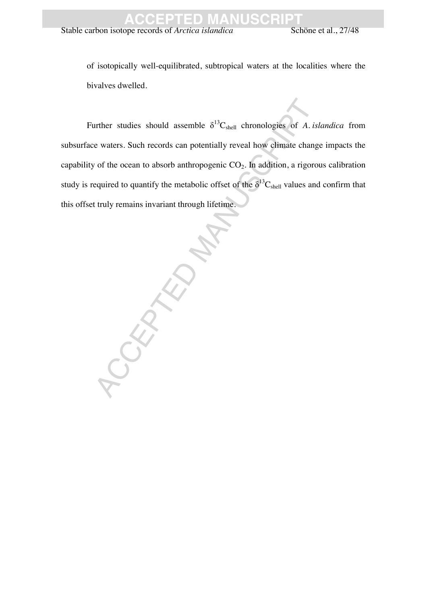Stable carbon isotope records of *Arctica islandica* Schöne et al., 27/48

of isotopically well-equilibrated, subtropical waters at the localities where the bivalves dwelled.

Further studies should assemble  $\delta^{13}C_{shell}$  chronologies of *A. islandica* from subsurface waters. Such records can potentially reveal how climate change impacts the capability of the ocean to absorb anthropogenic  $CO<sub>2</sub>$ . In addition, a rigorous calibration study is required to quantify the metabolic offset of the  $\delta^{13}C_{shell}$  values and confirm that this offset truly remains invariant through lifetime.

CCEPTED MANUSCRIPT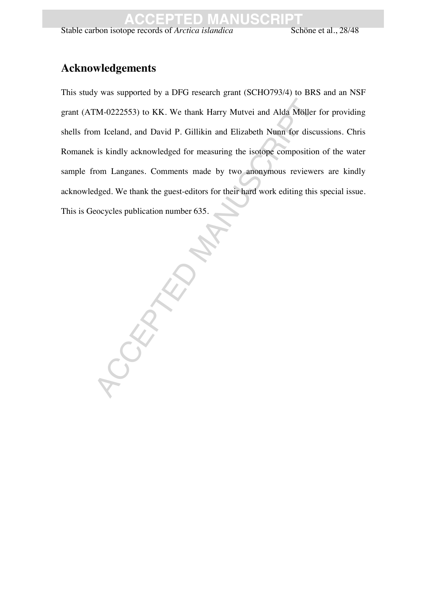Stable carbon isotope records of *Arctica islandica* Schöne et al., 28/48

### **Acknowledgements**

This study was supported by a DFG research grant (SCHO793/4) to BRS and an NSF grant (ATM-0222553) to KK. We thank Harry Mutvei and Alda Möller for providing shells from Iceland, and David P. Gillikin and Elizabeth Nunn for discussions. Chris Romanek is kindly acknowledged for measuring the isotope composition of the water sample from Langanes. Comments made by two anonymous reviewers are kindly acknowledged. We thank the guest-editors for their hard work editing this special issue. This is Geocycles publication number 635.

RANUSCRIPT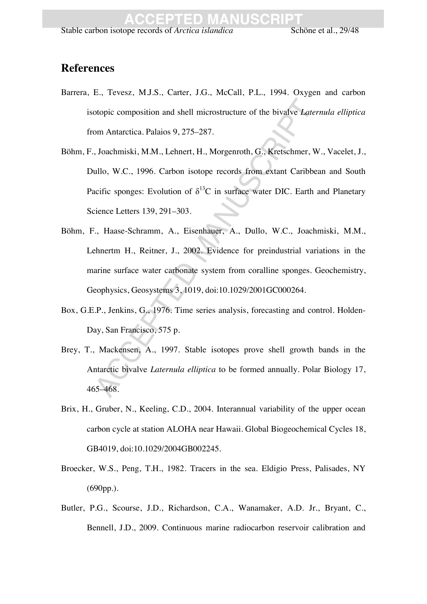### **References**

- Barrera, E., Tevesz, M.J.S., Carter, J.G., McCall, P.L., 1994. Oxygen and carbon isotopic composition and shell microstructure of the bivalve *Laternula elliptica*  from Antarctica. Palaios 9, 275–287.
- otopic composition and shell microstructure of the bivalve *Lation* Antarctica. Palaios 9, 275–287.<br>
Joachmiski, M.M., Lehnert, H., Morgenroth, G., Kretschmer, ullo, W.C., 1996. Carbon isotope records from extant Caribb<br>
a Böhm, F., Joachmiski, M.M., Lehnert, H., Morgenroth, G., Kretschmer, W., Vacelet, J., Dullo, W.C., 1996. Carbon isotope records from extant Caribbean and South Pacific sponges: Evolution of  $\delta^{13}$ C in surface water DIC. Earth and Planetary Science Letters 139, 291–303.
- Böhm, F., Haase-Schramm, A., Eisenhauer, A., Dullo, W.C., Joachmiski, M.M., Lehnertm H., Reitner, J., 2002. Evidence for preindustrial variations in the marine surface water carbonate system from coralline sponges. Geochemistry, Geophysics, Geosystems 3, 1019, doi:10.1029/2001GC000264.
- Box, G.E.P., Jenkins, G., 1976. Time series analysis, forecasting and control. Holden-Day, San Francisco, 575 p.
- Brey, T., Mackensen, A., 1997. Stable isotopes prove shell growth bands in the Antarctic bivalve *Laternula elliptica* to be formed annually. Polar Biology 17, 465–468.
- Brix, H., Gruber, N., Keeling, C.D., 2004. Interannual variability of the upper ocean carbon cycle at station ALOHA near Hawaii. Global Biogeochemical Cycles 18, GB4019, doi:10.1029/2004GB002245.
- Broecker, W.S., Peng, T.H., 1982. Tracers in the sea. Eldigio Press, Palisades, NY (690pp.).
- Butler, P.G., Scourse, J.D., Richardson, C.A., Wanamaker, A.D. Jr., Bryant, C., Bennell, J.D., 2009. Continuous marine radiocarbon reservoir calibration and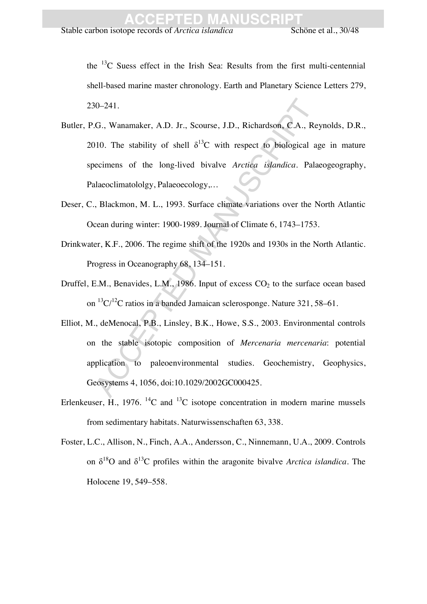the  $^{13}$ C Suess effect in the Irish Sea: Results from the first multi-centennial shell-based marine master chronology. Earth and Planetary Science Letters 279, 230–241.

- 30–241.<br>
.G., Wanamaker, A.D. Jr., Scourse, J.D., Richardson, C.A., R<br>
100. The stability of shell  $\delta^{13}C$  with respect to biological<br>
eecimens of the long-lived bivalve *Arctica islandica*. Pa<br>
alaeoclimatololgy, Palae Butler, P.G., Wanamaker, A.D. Jr., Scourse, J.D., Richardson, C.A., Reynolds, D.R., 2010. The stability of shell  $\delta^{13}$ C with respect to biological age in mature specimens of the long-lived bivalve *Arctica islandica*. Palaeogeography, Palaeoclimatololgy, Palaeoecology,…
- Deser, C., Blackmon, M. L., 1993. Surface climate variations over the North Atlantic Ocean during winter: 1900-1989. Journal of Climate 6, 1743–1753.
- Drinkwater, K.F., 2006. The regime shift of the 1920s and 1930s in the North Atlantic. Progress in Oceanography 68, 134–151.
- Druffel, E.M., Benavides, L.M., 1986. Input of excess  $CO<sub>2</sub>$  to the surface ocean based on  ${}^{13}C/{}^{12}C$  ratios in a banded Jamaican sclerosponge. Nature 321, 58–61.
- Elliot, M., deMenocal, P.B., Linsley, B.K., Howe, S.S., 2003. Environmental controls on the stable isotopic composition of *Mercenaria mercenaria*: potential application to paleoenvironmental studies. Geochemistry, Geophysics, Geosystems 4, 1056, doi:10.1029/2002GC000425.
- Erlenkeuser, H., 1976. <sup>14</sup>C and <sup>13</sup>C isotope concentration in modern marine mussels from sedimentary habitats. Naturwissenschaften 63, 338.
- Foster, L.C., Allison, N., Finch, A.A., Andersson, C., Ninnemann, U.A., 2009. Controls on  $\delta^{18}$ O and  $\delta^{13}$ C profiles within the aragonite bivalve *Arctica islandica*. The Holocene 19, 549–558.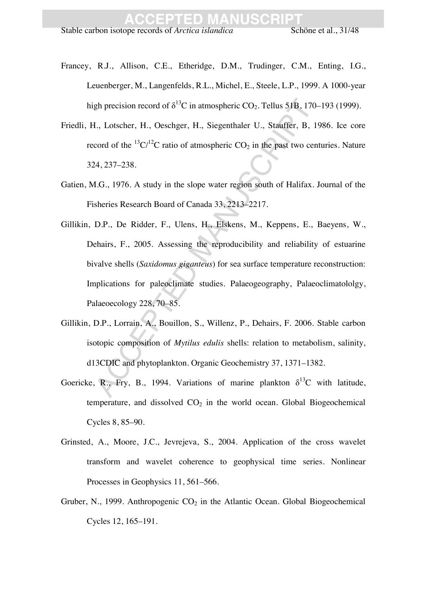- Francey, R.J., Allison, C.E., Etheridge, D.M., Trudinger, C.M., Enting, I.G., Leuenberger, M., Langenfelds, R.L., Michel, E., Steele, L.P., 1999. A 1000-year high precision record of  $\delta^{13}C$  in atmospheric CO<sub>2</sub>. Tellus 51B, 170–193 (1999).
- Friedli, H., Lotscher, H., Oeschger, H., Siegenthaler U., Stauffer, B, 1986. Ice core record of the  ${}^{13}C/{}^{12}C$  ratio of atmospheric  $CO<sub>2</sub>$  in the past two centuries. Nature 324, 237–238.
- Gatien, M.G., 1976. A study in the slope water region south of Halifax. Journal of the Fisheries Research Board of Canada 33, 2213–2217.
- gh precision record of  $\delta^{13}C$  in atmospheric CO<sub>2</sub>. Tellus 51B, 17<br>I., Lotscher, H., Oeschger, H., Siegenthaler U., Stauffer, B,<br>cord of the  ${}^{13}C/{}^{12}C$  ratio of atmospheric CO<sub>2</sub> in the past two cc<br>24, 237–238.<br>I. Gillikin, D.P., De Ridder, F., Ulens, H., Elskens, M., Keppens, E., Baeyens, W., Dehairs, F., 2005. Assessing the reproducibility and reliability of estuarine bivalve shells (*Saxidomus giganteus*) for sea surface temperature reconstruction: Implications for paleoclimate studies. Palaeogeography, Palaeoclimatololgy, Palaeoecology 228, 70–85.
- Gillikin, D.P., Lorrain, A., Bouillon, S., Willenz, P., Dehairs, F. 2006. Stable carbon isotopic composition of *Mytilus edulis* shells: relation to metabolism, salinity, d13CDIC and phytoplankton. Organic Geochemistry 37, 1371–1382.
- Goericke, R., Fry, B., 1994. Variations of marine plankton  $\delta^{13}C$  with latitude, temperature, and dissolved  $CO<sub>2</sub>$  in the world ocean. Global Biogeochemical Cycles 8, 85–90.
- Grinsted, A., Moore, J.C., Jevrejeva, S., 2004. Application of the cross wavelet transform and wavelet coherence to geophysical time series. Nonlinear Processes in Geophysics 11, 561–566.
- Gruber, N., 1999. Anthropogenic  $CO<sub>2</sub>$  in the Atlantic Ocean. Global Biogeochemical Cycles 12, 165–191.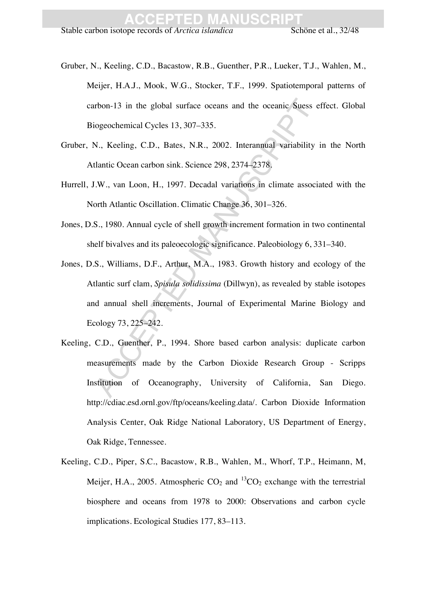- Gruber, N., Keeling, C.D., Bacastow, R.B., Guenther, P.R., Lueker, T.J., Wahlen, M., Meijer, H.A.J., Mook, W.G., Stocker, T.F., 1999. Spatiotemporal patterns of carbon-13 in the global surface oceans and the oceanic Suess effect. Global Biogeochemical Cycles 13, 307–335.
- Gruber, N., Keeling, C.D., Bates, N.R., 2002. Interannual variability in the North Atlantic Ocean carbon sink. Science 298, 2374–2378.
- Hurrell, J.W., van Loon, H., 1997. Decadal variations in climate associated with the North Atlantic Oscillation. Climatic Change 36, 301–326.
- Jones, D.S., 1980. Annual cycle of shell growth increment formation in two continental shelf bivalves and its paleoecologic significance. Paleobiology 6, 331–340.
- rbon-13 in the global surface oceans and the oceanic Suess<br>iogeochemical Cycles 13, 307–335.<br>V., Kecling, C.D., Bates, N.R., 2002. Interannual variability<br>tlantic Ocean carbon sink. Science 298, 2374–2378.<br>J.W., van Loon, Jones, D.S., Williams, D.F., Arthur, M.A., 1983. Growth history and ecology of the Atlantic surf clam, *Spisula solidissima* (Dillwyn), as revealed by stable isotopes and annual shell increments, Journal of Experimental Marine Biology and Ecology 73, 225–242.
- Keeling, C.D., Guenther, P., 1994. Shore based carbon analysis: duplicate carbon measurements made by the Carbon Dioxide Research Group - Scripps Institution of Oceanography, University of California, San Diego. http://cdiac.esd.ornl.gov/ftp/oceans/keeling.data/. Carbon Dioxide Information Analysis Center, Oak Ridge National Laboratory, US Department of Energy, Oak Ridge, Tennessee.
- Keeling, C.D., Piper, S.C., Bacastow, R.B., Wahlen, M., Whorf, T.P., Heimann, M, Meijer, H.A., 2005. Atmospheric  $CO_2$  and  ${}^{13}CO_2$  exchange with the terrestrial biosphere and oceans from 1978 to 2000: Observations and carbon cycle implications. Ecological Studies 177, 83–113.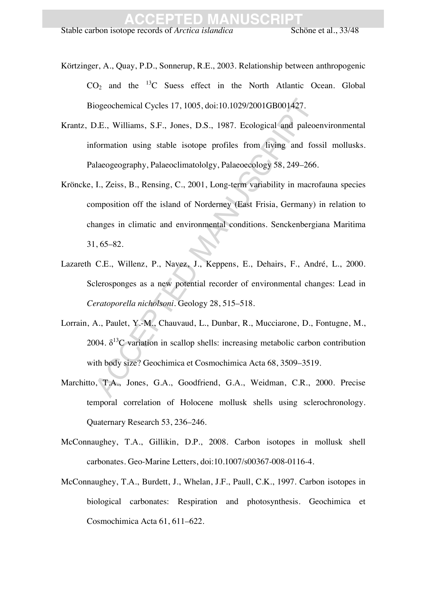- Körtzinger, A., Quay, P.D., Sonnerup, R.E., 2003. Relationship between anthropogenic  $CO<sub>2</sub>$  and the  $^{13}C$  Suess effect in the North Atlantic Ocean. Global Biogeochemical Cycles 17, 1005, doi:10.1029/2001GB001427.
- Krantz, D.E., Williams, S.F., Jones, D.S., 1987. Ecological and paleoenvironmental information using stable isotope profiles from living and fossil mollusks. Palaeogeography, Palaeoclimatololgy, Palaeoecology 58, 249–266.
- iogeochemical Cycles 17, 1005, doi:10.1029/2001GB001427.<br>
D.E., Williams, S.F., Jones, D.S., 1987. Ecological and pale<br>
formation using stable isotope profiles from living and folaeogeography, Palaeoclimatololgy, Palaeocol Kröncke, I., Zeiss, B., Rensing, C., 2001, Long-term variability in macrofauna species composition off the island of Norderney (East Frisia, Germany) in relation to changes in climatic and environmental conditions. Senckenbergiana Maritima 31, 65–82.
- Lazareth C.E., Willenz, P., Navez, J., Keppens, E., Dehairs, F., André, L., 2000. Sclerosponges as a new potential recorder of environmental changes: Lead in *Ceratoporella nicholsoni*. Geology 28, 515–518.
- Lorrain, A., Paulet, Y.-M., Chauvaud, L., Dunbar, R., Mucciarone, D., Fontugne, M., 2004.  $\delta^{13}$ C variation in scallop shells: increasing metabolic carbon contribution with body size? Geochimica et Cosmochimica Acta 68, 3509–3519.
- Marchitto, T.A., Jones, G.A., Goodfriend, G.A., Weidman, C.R., 2000. Precise temporal correlation of Holocene mollusk shells using sclerochronology. Quaternary Research 53, 236–246.
- McConnaughey, T.A., Gillikin, D.P., 2008. Carbon isotopes in mollusk shell carbonates. Geo-Marine Letters, doi:10.1007/s00367-008-0116-4.
- McConnaughey, T.A., Burdett, J., Whelan, J.F., Paull, C.K., 1997. Carbon isotopes in biological carbonates: Respiration and photosynthesis. Geochimica et Cosmochimica Acta 61, 611–622.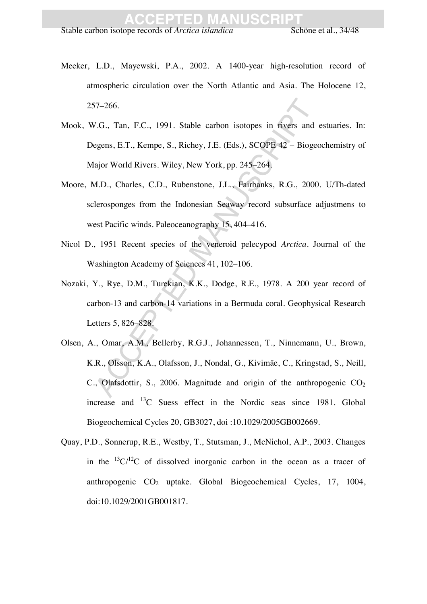- Meeker, L.D., Mayewski, P.A., 2002. A 1400-year high-resolution record of atmospheric circulation over the North Atlantic and Asia. The Holocene 12, 257–266.
- Mook, W.G., Tan, F.C., 1991. Stable carbon isotopes in rivers and estuaries. In: Degens, E.T., Kempe, S., Richey, J.E. (Eds.), SCOPE 42 – Biogeochemistry of Major World Rivers. Wiley, New York, pp. 245–264.
- Moore, M.D., Charles, C.D., Rubenstone, J.L., Fairbanks, R.G., 2000. U/Th-dated sclerosponges from the Indonesian Seaway record subsurface adjustmens to west Pacific winds. Paleoceanography 15, 404–416.
- Nicol D., 1951 Recent species of the veneroid pelecypod *Arctica*. Journal of the Washington Academy of Sciences 41, 102–106.
- Nozaki, Y., Rye, D.M., Turekian, K.K., Dodge, R.E., 1978. A 200 year record of carbon-13 and carbon-14 variations in a Bermuda coral. Geophysical Research Letters 5, 826–828.
- 57–266.<br>
V.G., Tan, F.C., 1991. Stable carbon isotopes in rivers and<br>
egens, E.T., Kempe, S., Richey, J.E. (Eds.), SCOPE 42 Biog<br>
iajor World Rivers. Wiley, New York, pp. 245–264,<br>
M.D., Charles, C.D., Rubenstone, J.L., Olsen, A., Omar, A.M., Bellerby, R.G.J., Johannessen, T., Ninnemann, U., Brown, K.R., Olsson, K.A., Olafsson, J., Nondal, G., Kivimäe, C., Kringstad, S., Neill, C., Olafsdottir, S., 2006. Magnitude and origin of the anthropogenic  $CO<sub>2</sub>$ increase and 13C Suess effect in the Nordic seas since 1981. Global Biogeochemical Cycles 20, GB3027, doi :10.1029/2005GB002669.
- Quay, P.D., Sonnerup, R.E., Westby, T., Stutsman, J., McNichol, A.P., 2003. Changes in the  ${}^{13}C/{}^{12}C$  of dissolved inorganic carbon in the ocean as a tracer of anthropogenic  $CO<sub>2</sub>$  uptake. Global Biogeochemical Cycles, 17, 1004, doi:10.1029/2001GB001817.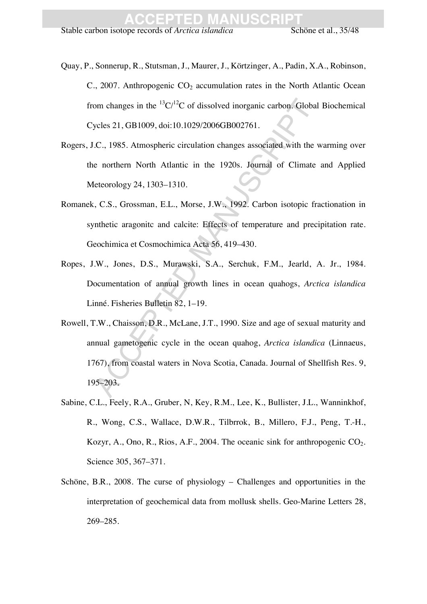Stable carbon isotope records of *Arctica islandica* Schöne et al., 35/48

Quay, P., Sonnerup, R., Stutsman, J., Maurer, J., Körtzinger, A., Padin, X.A., Robinson, C., 2007. Anthropogenic  $CO<sub>2</sub>$  accumulation rates in the North Atlantic Ocean from changes in the  ${}^{13}C/{}^{12}C$  of dissolved inorganic carbon. Global Biochemical Cycles 21, GB1009, doi:10.1029/2006GB002761.

- Rogers, J.C., 1985. Atmospheric circulation changes associated with the warming over the northern North Atlantic in the 1920s. Journal of Climate and Applied Meteorology 24, 1303–1310.
- Romanek, C.S., Grossman, E.L., Morse, J.W., 1992. Carbon isotopic fractionation in synthetic aragonitc and calcite: Effects of temperature and precipitation rate. Geochimica et Cosmochimica Acta 56, 419–430.
- Ropes, J.W., Jones, D.S., Murawski, S.A., Serchuk, F.M., Jearld, A. Jr., 1984. Documentation of annual growth lines in ocean quahogs, *Arctica islandica* Linné. Fisheries Bulletin 82, 1–19.
- om changes in the  $^{13}C/^{12}C$  of dissolved inorganic carbon. Glob<br>ycles 21, GB1009, doi:10.1029/2006GB002761.<br>C., 1985. Atmospheric circulation changes associated with the<br>e northern North Atlantic in the 1920s. Journal Rowell, T.W., Chaisson, D.R., McLane, J.T., 1990. Size and age of sexual maturity and annual gametogenic cycle in the ocean quahog, *Arctica islandica* (Linnaeus, 1767), from coastal waters in Nova Scotia, Canada. Journal of Shellfish Res. 9, 195–203.
- Sabine, C.L., Feely, R.A., Gruber, N, Key, R.M., Lee, K., Bullister, J.L., Wanninkhof, R., Wong, C.S., Wallace, D.W.R., Tilbrrok, B., Millero, F.J., Peng, T.-H., Kozyr, A., Ono, R., Rios, A.F., 2004. The oceanic sink for anthropogenic  $CO<sub>2</sub>$ . Science 305, 367–371.
- Schöne, B.R., 2008. The curse of physiology Challenges and opportunities in the interpretation of geochemical data from mollusk shells. Geo-Marine Letters 28, 269–285.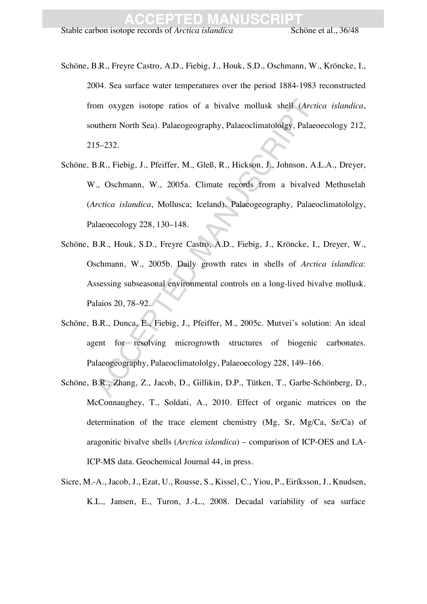Stable carbon isotope records of *Arctica islandica* Schöne et al., 36/48

- Schöne, B.R., Freyre Castro, A.D., Fiebig, J., Houk, S.D., Oschmann, W., Kröncke, I., 2004. Sea surface water temperatures over the period 1884-1983 reconstructed from oxygen isotope ratios of a bivalve mollusk shell (*Arctica islandica*, southern North Sea). Palaeogeography, Palaeoclimatololgy, Palaeoecology 212, 215–232.
- om oxygen isotope ratios of a bivalve mollusk shell (*Arc*<br>
utthern North Sea). Palacogeography, Palacoclimatololgy, Palac<br>
15–232.<br>
3.R., Fiebig, J., Pfeiffer, M., Gleß, R., Hickson, J., Johnson, A., J., Soshmann, W., 200 Schöne, B.R., Fiebig, J., Pfeiffer, M., Gleß, R., Hickson, J., Johnson, A.L.A., Dreyer, W., Oschmann, W., 2005a. Climate records from a bivalved Methuselah (*Arctica islandica*, Mollusca; Iceland). Palaeogeography, Palaeoclimatololgy, Palaeoecology 228, 130–148.
- Schöne, B.R., Houk, S.D., Freyre Castro, A.D., Fiebig, J., Kröncke, I., Dreyer, W., Oschmann, W., 2005b. Daily growth rates in shells of *Arctica islandica*: Assessing subseasonal environmental controls on a long-lived bivalve mollusk. Palaios 20, 78–92.
- Schöne, B.R., Dunca, E., Fiebig, J., Pfeiffer, M., 2005c. Mutvei's solution: An ideal agent for resolving microgrowth structures of biogenic carbonates. Palaeogeography, Palaeoclimatololgy, Palaeoecology 228, 149–166.
- Schöne, B.R., Zhang, Z., Jacob, D., Gillikin, D.P., Tütken, T., Garbe-Schönberg, D., McConnaughey, T., Soldati, A., 2010. Effect of organic matrices on the determination of the trace element chemistry (Mg, Sr, Mg/Ca, Sr/Ca) of aragonitic bivalve shells (*Arctica islandica*) – comparison of ICP-OES and LA-ICP-MS data. Geochemical Journal 44, in press.
- Sicre, M.-A., Jacob, J., Ezat, U., Rousse, S., Kissel, C., Yiou, P., Eiríksson, J., Knudsen, K.L., Jansen, E., Turon, J.-L., 2008. Decadal variability of sea surface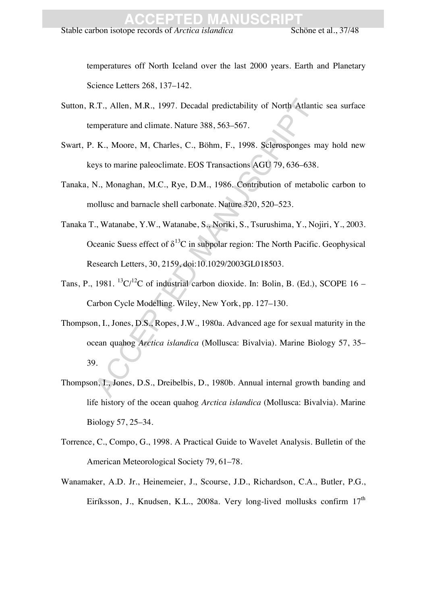Stable carbon isotope records of *Arctica islandica* Schöne et al., 37/48

temperatures off North Iceland over the last 2000 years. Earth and Planetary Science Letters 268, 137–142.

- Sutton, R.T., Allen, M.R., 1997. Decadal predictability of North Atlantic sea surface temperature and climate. Nature 388, 563–567.
- Swart, P. K., Moore, M, Charles, C., Böhm, F., 1998. Sclerosponges may hold new keys to marine paleoclimate. EOS Transactions AGU 79, 636–638.
- Tanaka, N., Monaghan, M.C., Rye, D.M., 1986. Contribution of metabolic carbon to mollusc and barnacle shell carbonate. Nature 320, 520–523.
- Tanaka T., Watanabe, Y.W., Watanabe, S., Noriki, S., Tsurushima, Y., Nojiri, Y., 2003. Oceanic Suess effect of  $\delta^{13}C$  in subpolar region: The North Pacific. Geophysical Research Letters, 30, 2159, doi:10.1029/2003GL018503.
- Tans, P., 1981.  ${}^{13}C/{}^{12}C$  of industrial carbon dioxide. In: Bolin, B. (Ed.), SCOPE 16 Carbon Cycle Modelling. Wiley, New York, pp. 127–130.
- .T., Allen, M.R., 1997. Decadal predictability of North Atlar<br>mperature and climate. Nature 388, 563–567.<br>K., Moore, M. Charles, C., Böhm, F., 1998. Sclerosponges<br>eys to marine paleoclimate. EOS Transactions AGU 79, 636–6 Thompson, I., Jones, D.S., Ropes, J.W., 1980a. Advanced age for sexual maturity in the ocean quahog *Arctica islandica* (Mollusca: Bivalvia). Marine Biology 57, 35– 39.
- Thompson, I., Jones, D.S., Dreibelbis, D., 1980b. Annual internal growth banding and life history of the ocean quahog *Arctica islandica* (Mollusca: Bivalvia). Marine Biology 57, 25–34.
- Torrence, C., Compo, G., 1998. A Practical Guide to Wavelet Analysis. Bulletin of the American Meteorological Society 79, 61–78.
- Wanamaker, A.D. Jr., Heinemeier, J., Scourse, J.D., Richardson, C.A., Butler, P.G., Eiríksson, J., Knudsen, K.L., 2008a. Very long-lived mollusks confirm 17<sup>th</sup>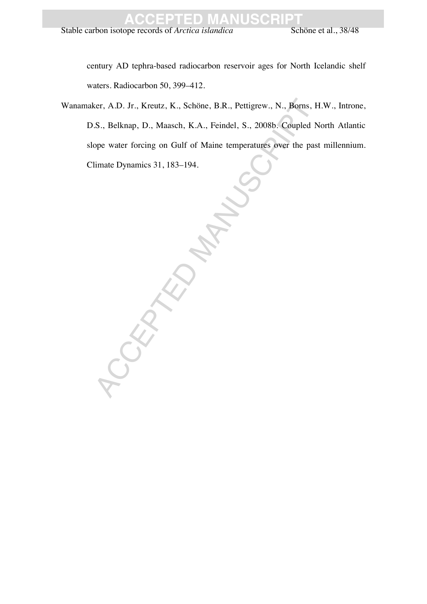century AD tephra-based radiocarbon reservoir ages for North Icelandic shelf waters. Radiocarbon 50, 399–412.

Wanamaker, A.D. Jr., Kreutz, K., Schöne, B.R., Pettigrew., N., Borns, H.W., Introne, D.S., Belknap, D., Maasch, K.A., Feindel, S., 2008b. Coupled North Atlantic slope water forcing on Gulf of Maine temperatures over the past millennium. Climate Dynamics 31, 183–194.

CERTIFIED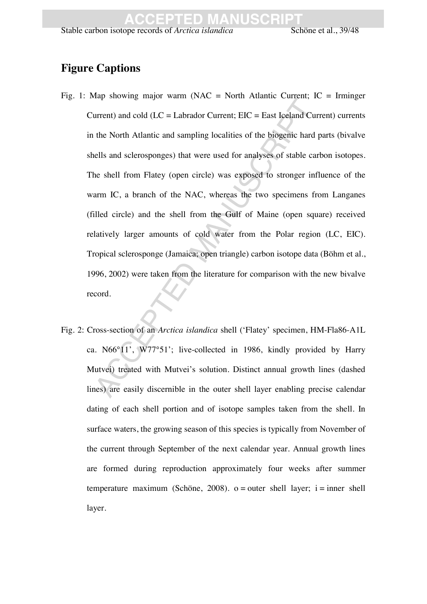### **Figure Captions**

- Experience and CIC = Labrador Current; EIC = East Iceland C<br>the North Atlantic and sampling localities of the biogenic hard<br>cells and sclerosponges) that were used for analyses of stable c<br>ne shell from Flatey (open circle Fig. 1: Map showing major warm (NAC = North Atlantic Current;  $IC = Irminger$ Current) and cold ( $LC =$  Labrador Current;  $EIC =$  East Iceland Current) currents in the North Atlantic and sampling localities of the biogenic hard parts (bivalve shells and sclerosponges) that were used for analyses of stable carbon isotopes. The shell from Flatey (open circle) was exposed to stronger influence of the warm IC, a branch of the NAC, whereas the two specimens from Langanes (filled circle) and the shell from the Gulf of Maine (open square) received relatively larger amounts of cold water from the Polar region (LC, EIC). Tropical sclerosponge (Jamaica; open triangle) carbon isotope data (Böhm et al., 1996, 2002) were taken from the literature for comparison with the new bivalve record.
- Fig. 2: Cross-section of an *Arctica islandica* shell ('Flatey' specimen, HM-Fla86-A1L ca. N66°11', W77°51'; live-collected in 1986, kindly provided by Harry Mutvei) treated with Mutvei's solution. Distinct annual growth lines (dashed lines) are easily discernible in the outer shell layer enabling precise calendar dating of each shell portion and of isotope samples taken from the shell. In surface waters, the growing season of this species is typically from November of the current through September of the next calendar year. Annual growth lines are formed during reproduction approximately four weeks after summer temperature maximum (Schöne, 2008).  $o = outer$  shell layer; i = inner shell layer.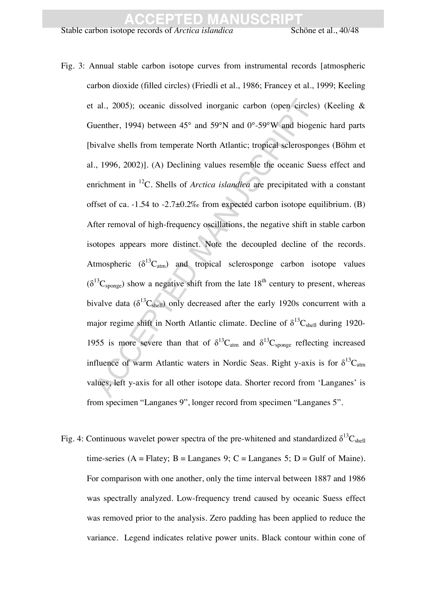Stable carbon isotope records of *Arctica islandica* Schöne et al., 40/48

- al., 2005); oceanic dissolved inorganic carbon (open circle<br>ucnther, 1994) between 45° and 59°N and 0°-59°W and biog<br>ivalve shells from temperate North Atlantic; tropical selerospe<br>., 1996, 2002)]. (A) Declining values re Fig. 3: Annual stable carbon isotope curves from instrumental records [atmospheric carbon dioxide (filled circles) (Friedli et al., 1986; Francey et al., 1999; Keeling et al., 2005); oceanic dissolved inorganic carbon (open circles) (Keeling & Guenther, 1994) between 45° and 59°N and 0°-59°W and biogenic hard parts [bivalve shells from temperate North Atlantic; tropical sclerosponges (Böhm et al., 1996, 2002)]. (A) Declining values resemble the oceanic Suess effect and enrichment in 12C. Shells of *Arctica islandica* are precipitated with a constant offset of ca.  $-1.54$  to  $-2.7\pm0.2\%$  from expected carbon isotope equilibrium. (B) After removal of high-frequency oscillations, the negative shift in stable carbon isotopes appears more distinct. Note the decoupled decline of the records. Atmospheric  $(\delta^{13}C_{atm})$  and tropical sclerosponge carbon isotope values  $(\delta^{13}C_{\text{songe}})$  show a negative shift from the late  $18^{\text{th}}$  century to present, whereas bivalve data ( $\delta^{13}C_{shell}$ ) only decreased after the early 1920s concurrent with a major regime shift in North Atlantic climate. Decline of  $\delta^{13}C_{shell}$  during 1920-1955 is more severe than that of  $\delta^{13}C_{\text{atm}}$  and  $\delta^{13}C_{\text{songe}}$  reflecting increased influence of warm Atlantic waters in Nordic Seas. Right y-axis is for  $\delta^{13}C_{\text{atm}}$ values, left y-axis for all other isotope data. Shorter record from 'Langanes' is from specimen "Langanes 9", longer record from specimen "Langanes 5".
- Fig. 4: Continuous wavelet power spectra of the pre-whitened and standardized  $\delta^{13}C_{shell}$ time-series (A = Flatey; B = Langanes 9; C = Langanes 5; D = Gulf of Maine). For comparison with one another, only the time interval between 1887 and 1986 was spectrally analyzed. Low-frequency trend caused by oceanic Suess effect was removed prior to the analysis. Zero padding has been applied to reduce the variance. Legend indicates relative power units. Black contour within cone of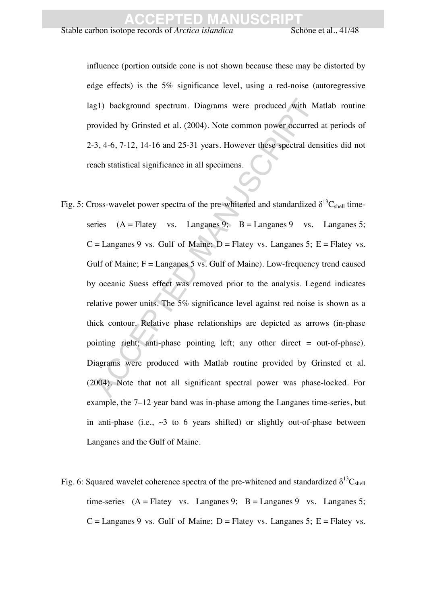Stable carbon isotope records of *Arctica islandica* Schöne et al., 41/48

influence (portion outside cone is not shown because these may be distorted by edge effects) is the 5% significance level, using a red-noise (autoregressive lag1) background spectrum. Diagrams were produced with Matlab routine provided by Grinsted et al. (2004). Note common power occurred at periods of 2-3, 4-6, 7-12, 14-16 and 25-31 years. However these spectral densities did not reach statistical significance in all specimens.

- g1) background spectrum. Diagrams were produced with lovided by Grinsted et al. (2004). Note common power occurre 3, 4-6, 7-12, 14-16 and 25-31 years. However these spectral dach statistical significance in all specimens.<br> Fig. 5: Cross-wavelet power spectra of the pre-whitened and standardized  $\delta^{13}C_{shell}$  timeseries  $(A = Flatev$  vs. Langanes 9;  $B = Lapeane$ ges 9 vs. Langanes 5;  $C =$  Langanes 9 vs. Gulf of Maine;  $D =$  Flatey vs. Langanes 5;  $E =$  Flatey vs. Gulf of Maine;  $F =$  Langanes 5 vs. Gulf of Maine). Low-frequency trend caused by oceanic Suess effect was removed prior to the analysis. Legend indicates relative power units. The 5% significance level against red noise is shown as a thick contour. Relative phase relationships are depicted as arrows (in-phase pointing right; anti-phase pointing left; any other direct = out-of-phase). Diagrams were produced with Matlab routine provided by Grinsted et al. (2004). Note that not all significant spectral power was phase-locked. For example, the 7–12 year band was in-phase among the Langanes time-series, but in anti-phase (i.e.,  $\sim$ 3 to 6 years shifted) or slightly out-of-phase between Langanes and the Gulf of Maine.
- Fig. 6: Squared wavelet coherence spectra of the pre-whitened and standardized  $\delta^{13}C_{shell}$ time-series  $(A =$  Flatey vs. Langanes 9;  $B =$  Langanes 9 vs. Langanes 5;  $C =$  Langanes 9 vs. Gulf of Maine; D = Flatey vs. Langanes 5; E = Flatey vs.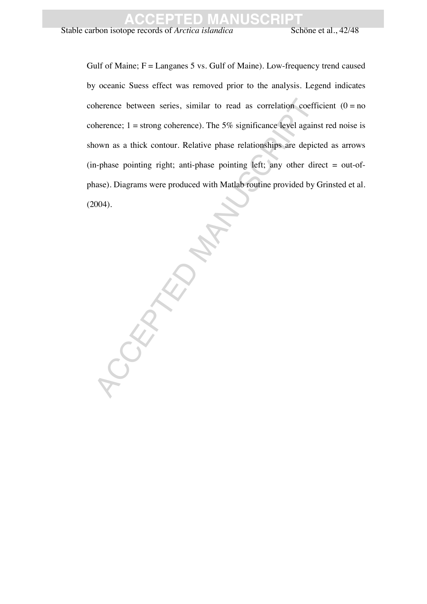Stable carbon isotope records of *Arctica islandica* Schöne et al., 42/48

Gulf of Maine;  $F =$  Langanes 5 vs. Gulf of Maine). Low-frequency trend caused by oceanic Suess effect was removed prior to the analysis. Legend indicates coherence between series, similar to read as correlation coefficient  $(0 = no$ coherence;  $1 =$  strong coherence). The 5% significance level against red noise is shown as a thick contour. Relative phase relationships are depicted as arrows  $(in-phase$  pointing right; anti-phase pointing left; any other direct = out-ofphase). Diagrams were produced with Matlab routine provided by Grinsted et al. (2004).

CCEPTED MANUSCRIPT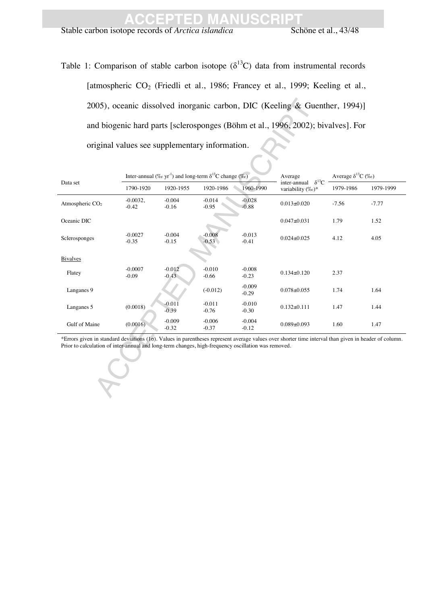Stable carbon isotope records of *Arctica islandica* Schöne et al., 43/48

Table 1: Comparison of stable carbon isotope ( $\delta^{13}$ C) data from instrumental records [atmospheric CO<sub>2</sub> (Friedli et al., 1986; Francey et al., 1999; Keeling et al., 2005), oceanic dissolved inorganic carbon, DIC (Keeling & Guenther, 1994)] and biogenic hard parts [sclerosponges (Böhm et al., 1996, 2002); bivalves]. For original values see supplementary information.

|                       |                     |                     |                     | Average                                                                                                                       | Average $\delta^{13}C$ (%o)                                                                                                           |                                                                                                                                                                                                                                                                                                                        |
|-----------------------|---------------------|---------------------|---------------------|-------------------------------------------------------------------------------------------------------------------------------|---------------------------------------------------------------------------------------------------------------------------------------|------------------------------------------------------------------------------------------------------------------------------------------------------------------------------------------------------------------------------------------------------------------------------------------------------------------------|
| 1790-1920             | 1920-1955           | 1920-1986           | 1960-1990           | variability (‰)*                                                                                                              | 1979-1986                                                                                                                             | 1979-1999                                                                                                                                                                                                                                                                                                              |
| $-0.0032,$<br>$-0.42$ | $-0.004$<br>$-0.16$ | $-0.014$<br>$-0.95$ | $-0.028$<br>$-0.88$ | $0.013 \pm 0.020$                                                                                                             | $-7.56$                                                                                                                               | $-7.77$                                                                                                                                                                                                                                                                                                                |
|                       |                     |                     |                     | $0.047 \pm 0.031$                                                                                                             | 1.79                                                                                                                                  | 1.52                                                                                                                                                                                                                                                                                                                   |
| $-0.0027$<br>$-0.35$  | $-0.004$<br>$-0.15$ | $-0.008$<br>$-0.53$ | $-0.013$<br>$-0.41$ | $0.024 \pm 0.025$                                                                                                             | 4.12                                                                                                                                  | 4.05                                                                                                                                                                                                                                                                                                                   |
|                       |                     |                     |                     |                                                                                                                               |                                                                                                                                       |                                                                                                                                                                                                                                                                                                                        |
| $-0.0007$<br>$-0.09$  | $-0.012$<br>$-0.43$ | $-0.010$<br>$-0.66$ | $-0.008$<br>$-0.23$ | $0.134 \pm 0.120$                                                                                                             | 2.37                                                                                                                                  |                                                                                                                                                                                                                                                                                                                        |
|                       |                     | $(-0.012)$          | $-0.009$<br>$-0.29$ | $0.078 \pm 0.055$                                                                                                             | 1.74                                                                                                                                  | 1.64                                                                                                                                                                                                                                                                                                                   |
| (0.0018)              | $-0.011$<br>$-0.39$ | $-0.011$<br>$-0.76$ | $-0.010$<br>$-0.30$ | $0.132 \pm 0.111$                                                                                                             | 1.47                                                                                                                                  | 1.44                                                                                                                                                                                                                                                                                                                   |
| (0.0016)              | $-0.009$<br>$-0.32$ | $-0.006$<br>$-0.37$ | $-0.004$<br>$-0.12$ | $0.089 + 0.093$                                                                                                               | 1.60                                                                                                                                  | 1.47                                                                                                                                                                                                                                                                                                                   |
|                       |                     |                     |                     |                                                                                                                               |                                                                                                                                       |                                                                                                                                                                                                                                                                                                                        |
|                       |                     |                     |                     |                                                                                                                               |                                                                                                                                       |                                                                                                                                                                                                                                                                                                                        |
|                       |                     |                     |                     | original values see supplementary information.<br>Inter-annual (% yr <sup>-1</sup> ) and long-term $\delta^{13}$ C change (%) | $\delta^{13}C$<br>inter-annual<br>Prior to calculation of inter-annual and long-term changes, high-frequency oscillation was removed. | 2005), oceanic dissolved inorganic carbon, DIC (Keeling & Guenther, 1994)]<br>and biogenic hard parts [sclerosponges (Böhm et al., 1996, 2002); bivalves]. For<br>*Errors given in standard deviations (16). Values in parentheses represent average values over shorter time interval than given in header of column. |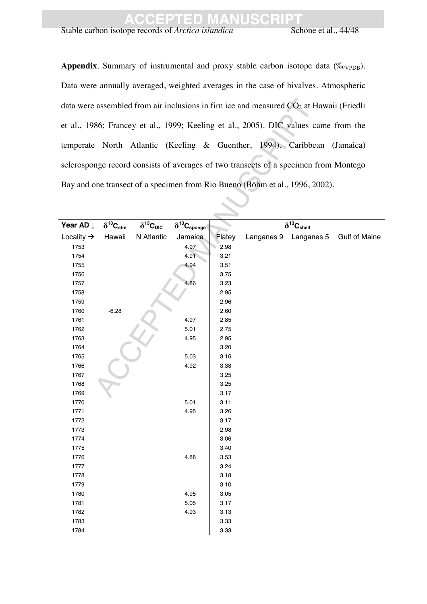Stable carbon isotope records of *Arctica islandica* Schöne et al., 44/48

Appendix. Summary of instrumental and proxy stable carbon isotope data (‰V<sub>PDB</sub>). Data were annually averaged, weighted averages in the case of bivalves. Atmospheric data were assembled from air inclusions in firn ice and measured  $CO<sub>2</sub>$  at Hawaii (Friedli et al., 1986; Francey et al., 1999; Keeling et al., 2005). DIC values came from the temperate North Atlantic (Keeling & Guenther, 1994). Caribbean (Jamaica) sclerosponge record consists of averages of two transects of a specimen from Montego Bay and one transect of a specimen from Rio Bueno (Böhm et al., 1996, 2002).

|                        |                      |                             |                                |              | data were assembled from air inclusions in firn ice and measured $CO2$ at Hawaii (Friedli |                      |
|------------------------|----------------------|-----------------------------|--------------------------------|--------------|-------------------------------------------------------------------------------------------|----------------------|
|                        |                      |                             |                                |              | et al., 1986; Francey et al., 1999; Keeling et al., 2005). DIC values came from the       |                      |
|                        |                      |                             |                                |              | temperate North Atlantic (Keeling & Guenther, 1994). Caribbean (Jamaica)                  |                      |
|                        |                      |                             |                                |              | sclerosponge record consists of averages of two transects of a specimen from Montego      |                      |
|                        |                      |                             |                                |              | Bay and one transect of a specimen from Rio Bueno (Böhm et al., 1996, 2002).              |                      |
|                        |                      |                             |                                |              |                                                                                           |                      |
|                        |                      |                             |                                |              |                                                                                           |                      |
| Year AD Į              | $\delta^{13}C_{atm}$ | $\delta^{13}C_{\text{DIC}}$ | $\delta^{13}C_{\text{sponge}}$ |              | $\delta^{13}C_{shell}$                                                                    |                      |
| Locality $\rightarrow$ | Hawaii               | N Atlantic                  | Jamaica                        | Flatey       | Langanes 9 Langanes 5                                                                     | <b>Gulf of Maine</b> |
| 1753                   |                      |                             | 4.97                           | 2.98         |                                                                                           |                      |
| 1754                   |                      |                             | 4.91                           | 3.21         |                                                                                           |                      |
| 1755                   |                      |                             | 4.94                           | 3.51         |                                                                                           |                      |
| 1756                   |                      |                             |                                | 3.75         |                                                                                           |                      |
| 1757                   |                      |                             | 4.86                           | 3.23         |                                                                                           |                      |
| 1758                   |                      |                             |                                | 2.95         |                                                                                           |                      |
| 1759                   |                      |                             |                                | 2.96         |                                                                                           |                      |
| 1760                   | $-6.28$              |                             |                                | 2.60         |                                                                                           |                      |
| 1761                   |                      |                             | 4.97                           | 2.85         |                                                                                           |                      |
| 1762                   |                      |                             | 5.01                           | 2.75         |                                                                                           |                      |
| 1763                   |                      |                             | 4.95                           | 2.95         |                                                                                           |                      |
| 1764                   |                      |                             |                                | 3.20         |                                                                                           |                      |
| 1765                   |                      |                             | 5.03                           | 3.16         |                                                                                           |                      |
| 1766                   |                      |                             | 4.92                           | 3.38         |                                                                                           |                      |
| 1767                   |                      |                             |                                | 3.25         |                                                                                           |                      |
| 1768                   |                      |                             |                                | 3.25         |                                                                                           |                      |
| 1769                   |                      |                             |                                | 3.17         |                                                                                           |                      |
| 1770                   |                      |                             | 5.01                           | 3.11         |                                                                                           |                      |
| 1771                   |                      |                             | 4.95                           | 3.26         |                                                                                           |                      |
| 1772                   |                      |                             |                                | 3.17         |                                                                                           |                      |
| 1773                   |                      |                             |                                | 2.98         |                                                                                           |                      |
| 1774                   |                      |                             |                                | 3.06         |                                                                                           |                      |
| 1775                   |                      |                             |                                | 3.40         |                                                                                           |                      |
| 1776                   |                      |                             | 4.88                           | 3.53         |                                                                                           |                      |
| 1777                   |                      |                             |                                | 3.24         |                                                                                           |                      |
| 1778<br>1779           |                      |                             |                                | 3.18<br>3.10 |                                                                                           |                      |
| 1780                   |                      |                             | 4.95                           | 3.05         |                                                                                           |                      |
| 1781                   |                      |                             | 5.05                           | 3.17         |                                                                                           |                      |
| 1782                   |                      |                             | 4.93                           | 3.13         |                                                                                           |                      |
| 1783                   |                      |                             |                                | 3.33         |                                                                                           |                      |
| 1784                   |                      |                             |                                | 3.33         |                                                                                           |                      |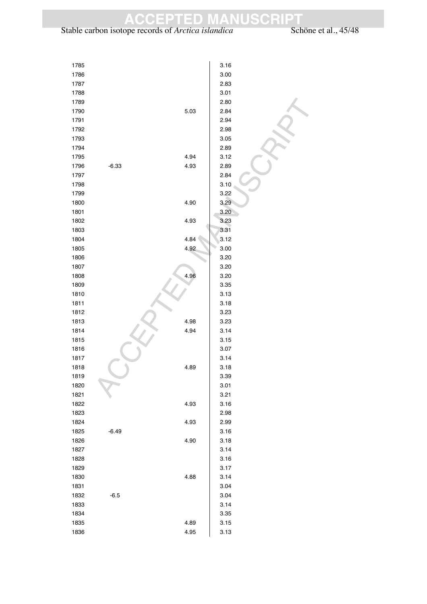#### Stable carbon isotope records of *Arctica islandica* Schöne et al., 45/48

| 1785         |         |      | 3.16 |  |
|--------------|---------|------|------|--|
| 1786         |         |      | 3.00 |  |
| 1787         |         |      | 2.83 |  |
| 1788         |         |      | 3.01 |  |
| 1789         |         |      | 2.80 |  |
| 1790         |         | 5.03 | 2.84 |  |
| 1791         |         |      | 2.94 |  |
| 1792         |         |      | 2.98 |  |
| 1793         |         |      | 3.05 |  |
| 1794         |         |      | 2.89 |  |
| 1795         |         | 4.94 | 3.12 |  |
| 1796         | $-6.33$ | 4.93 | 2.89 |  |
| 1797         |         |      | 2.84 |  |
| 1798         |         |      | 3.10 |  |
| 1799         |         |      | 3.22 |  |
| 1800         |         | 4.90 | 3.29 |  |
| 1801         |         |      | 3.20 |  |
| 1802         |         | 4.93 | 3.23 |  |
| 1803         |         |      | 3.31 |  |
| 1804         |         | 4.84 | 3.12 |  |
| 1805         |         | 4.92 | 3.00 |  |
| 1806         |         |      | 3.20 |  |
| 1807         |         |      | 3.20 |  |
| 1808         |         | 4.96 | 3.20 |  |
| 1809         |         |      | 3.35 |  |
| 1810         |         |      | 3.13 |  |
| 1811         |         |      | 3.18 |  |
| 1812         |         |      | 3.23 |  |
| 1813         |         | 4.98 | 3.23 |  |
| 1814         |         | 4.94 | 3.14 |  |
| 1815         |         |      | 3.15 |  |
| 1816         |         |      | 3.07 |  |
| 1817         |         |      | 3.14 |  |
| 1818         |         | 4.89 | 3.18 |  |
| 1819         |         |      | 3.39 |  |
| 1820         |         |      | 3.01 |  |
| 1821         |         |      | 3.21 |  |
| 1822         |         | 4.93 | 3.16 |  |
| 1823         |         |      | 2.98 |  |
| 1824         |         | 4.93 | 2.99 |  |
| 1825         | $-6.49$ |      | 3.16 |  |
| 1826         |         | 4.90 | 3.18 |  |
|              |         |      |      |  |
| 1827<br>1828 |         |      | 3.14 |  |
|              |         |      | 3.16 |  |
| 1829         |         |      | 3.17 |  |
| 1830         |         | 4.88 | 3.14 |  |
| 1831         |         |      | 3.04 |  |
| 1832         | $-6.5$  |      | 3.04 |  |
| 1833         |         |      | 3.14 |  |
| 1834         |         |      | 3.35 |  |
| 1835         |         | 4.89 | 3.15 |  |
| 1836         |         | 4.95 | 3.13 |  |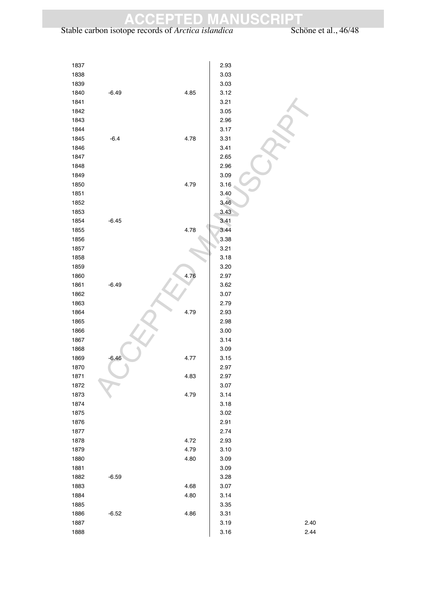Stable carbon isotope records of *Arctica islandica* Schöne et al., 46/48

| 1837 |         |      | 2.93 |      |
|------|---------|------|------|------|
| 1838 |         |      | 3.03 |      |
| 1839 |         |      | 3.03 |      |
| 1840 | $-6.49$ | 4.85 | 3.12 |      |
| 1841 |         |      | 3.21 |      |
| 1842 |         |      | 3.05 |      |
| 1843 |         |      | 2.96 |      |
| 1844 |         |      | 3.17 |      |
| 1845 | $-6.4$  | 4.78 | 3.31 |      |
| 1846 |         |      | 3.41 |      |
| 1847 |         |      | 2.65 |      |
| 1848 |         |      | 2.96 |      |
| 1849 |         |      | 3.09 |      |
| 1850 |         | 4.79 | 3.16 |      |
| 1851 |         |      | 3.40 |      |
| 1852 |         |      | 3.46 |      |
| 1853 |         |      | 3.43 |      |
| 1854 | $-6.45$ |      | 3.41 |      |
| 1855 |         | 4.78 | 3.44 |      |
| 1856 |         |      | 3.38 |      |
| 1857 |         |      | 3.21 |      |
| 1858 |         |      | 3.18 |      |
| 1859 |         |      | 3.20 |      |
| 1860 |         | 4.76 | 2.97 |      |
| 1861 | $-6.49$ |      | 3.62 |      |
| 1862 |         |      | 3.07 |      |
| 1863 |         |      | 2.79 |      |
| 1864 |         | 4.79 | 2.93 |      |
| 1865 |         |      | 2.98 |      |
| 1866 |         |      | 3.00 |      |
| 1867 |         |      | 3.14 |      |
| 1868 |         |      | 3.09 |      |
| 1869 | $-6.46$ | 4.77 | 3.15 |      |
| 1870 |         |      | 2.97 |      |
| 1871 |         | 4.83 | 2.97 |      |
| 1872 |         |      | 3.07 |      |
|      |         |      |      |      |
| 1873 |         | 4.79 | 3.14 |      |
| 1874 |         |      | 3.18 |      |
| 1875 |         |      | 3.02 |      |
| 1876 |         |      | 2.91 |      |
| 1877 |         |      | 2.74 |      |
| 1878 |         | 4.72 | 2.93 |      |
| 1879 |         | 4.79 | 3.10 |      |
| 1880 |         | 4.80 | 3.09 |      |
| 1881 |         |      | 3.09 |      |
| 1882 | $-6.59$ |      | 3.28 |      |
| 1883 |         | 4.68 | 3.07 |      |
| 1884 |         | 4.80 | 3.14 |      |
| 1885 |         |      | 3.35 |      |
| 1886 | $-6.52$ | 4.86 | 3.31 |      |
| 1887 |         |      | 3.19 | 2.40 |
| 1888 |         |      | 3.16 | 2.44 |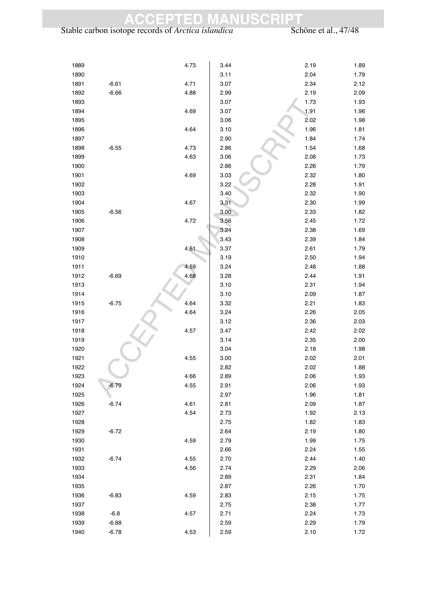#### Stable carbon isotope records of *Arctica islandica* Schöne et al., 47/48

| 1889 |         | 4.73 | 3.44 | 2.19 | 1.89 |
|------|---------|------|------|------|------|
| 1890 |         |      | 3.11 | 2.04 | 1.79 |
| 1891 | $-6.61$ | 4.71 | 3.07 | 2.34 | 2.12 |
| 1892 | $-6.66$ | 4.88 | 2.99 | 2.19 | 2.09 |
| 1893 |         |      | 3.07 | 1.73 | 1.93 |
| 1894 |         | 4.69 | 3.07 | 1.91 | 1.96 |
| 1895 |         |      | 3.06 | 2.02 | 1.98 |
| 1896 |         | 4.64 | 3.10 | 1.96 | 1.81 |
| 1897 |         |      | 2.90 | 1.84 | 1.74 |
| 1898 | $-6.55$ | 4.73 | 2.86 | 1.54 | 1.68 |
| 1899 |         | 4.63 | 3.06 | 2.08 | 1.73 |
| 1900 |         |      | 2.86 | 2.26 | 1.79 |
| 1901 |         | 4.69 | 3.03 | 2.32 | 1.80 |
| 1902 |         |      | 3.22 | 2.28 | 1.91 |
| 1903 |         |      | 3.40 | 2.32 | 1.90 |
| 1904 |         | 4.67 | 3.31 | 2.30 | 1.99 |
| 1905 | $-6.56$ |      | 3.00 | 2.33 | 1.82 |
| 1906 |         | 4.72 | 3.56 | 2.45 | 1.72 |
| 1907 |         |      | 3.24 | 2.38 | 1.69 |
| 1908 |         |      | 3.43 | 2.39 | 1.84 |
| 1909 |         | 4.61 | 3.37 | 2.61 | 1.79 |
| 1910 |         |      | 3.19 | 2.50 | 1.94 |
| 1911 |         | 4.59 | 3.24 | 2.48 | 1.88 |
| 1912 | $-6.69$ | 4.68 | 3.28 | 2.44 | 1.91 |
| 1913 |         |      | 3.10 | 2.31 | 1.94 |
| 1914 |         |      | 3.10 | 2.09 | 1.87 |
| 1915 | $-6.75$ | 4.64 | 3.32 | 2.21 | 1.83 |
| 1916 |         | 4.64 | 3.24 | 2.26 | 2.05 |
| 1917 |         |      | 3.12 | 2.36 | 2.03 |
| 1918 |         | 4.57 | 3.47 | 2.42 | 2.02 |
| 1919 |         |      | 3.14 | 2.35 | 2.00 |
| 1920 |         |      | 3.04 | 2.18 | 1.98 |
| 1921 |         | 4.55 | 3.00 | 2.02 | 2.01 |
| 1922 |         |      | 2.82 | 2.02 | 1.88 |
| 1923 |         | 4.66 | 2.89 | 2.06 | 1.93 |
| 1924 | $-6.79$ | 4.55 | 2.91 | 2.06 | 1.93 |
| 1925 |         |      | 2.97 | 1.96 | 1.81 |
| 1926 | $-6.74$ | 4.61 | 2.81 | 2.09 | 1.87 |
| 1927 |         | 4.54 | 2.73 | 1.92 | 2.13 |
| 1928 |         |      | 2.75 | 1.82 | 1.83 |
| 1929 | $-6.72$ |      | 2.64 | 2.19 | 1.80 |
| 1930 |         | 4.59 | 2.79 | 1.99 | 1.75 |
| 1931 |         |      | 2.66 | 2.24 | 1.55 |
| 1932 | $-6.74$ | 4.55 | 2.70 | 2.44 | 1.40 |
| 1933 |         | 4.56 | 2.74 | 2.29 | 2.06 |
| 1934 |         |      | 2.89 | 2.31 | 1.84 |
| 1935 |         |      | 2.87 | 2.26 | 1.70 |
| 1936 | $-6.83$ | 4.59 | 2.83 | 2.15 | 1.75 |
| 1937 |         |      | 2.75 | 2.38 | 1.77 |
| 1938 | $-6.8$  | 4.57 | 2.71 | 2.24 | 1.73 |
| 1939 | $-6.88$ |      | 2.59 | 2.29 | 1.79 |
| 1940 | $-6.78$ | 4.53 | 2.59 | 2.10 | 1.72 |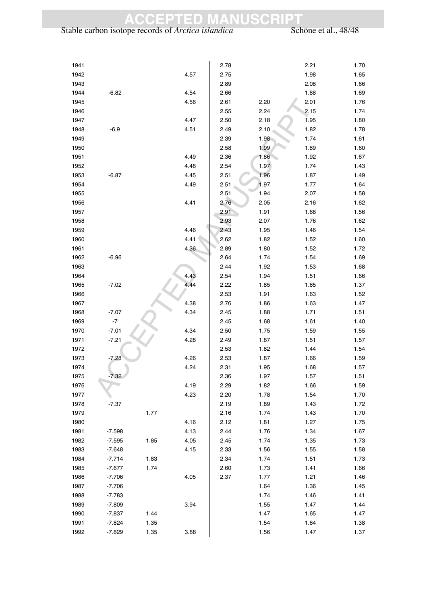#### Stable carbon isotope records of *Arctica islandica* Schöne et al., 48/48

| 1941 |          |      |      | 2.78 |      | 2.21 | 1.70 |
|------|----------|------|------|------|------|------|------|
| 1942 |          |      | 4.57 | 2.75 |      | 1.98 | 1.65 |
| 1943 |          |      |      | 2.89 |      | 2.08 | 1.66 |
| 1944 | $-6.82$  |      | 4.54 | 2.66 |      | 1.88 | 1.69 |
| 1945 |          |      | 4.56 | 2.61 | 2.20 | 2.01 | 1.76 |
| 1946 |          |      |      | 2.55 | 2.24 | 2.15 | 1.74 |
| 1947 |          |      | 4.47 | 2.50 | 2.18 | 1.95 | 1.80 |
| 1948 | $-6.9$   |      | 4.51 | 2.49 | 2.10 | 1.82 | 1.78 |
| 1949 |          |      |      | 2.39 | 1.98 | 1.74 | 1.61 |
| 1950 |          |      |      | 2.58 | 1.99 | 1.89 | 1.60 |
| 1951 |          |      | 4.49 | 2.36 | 1.86 | 1.92 | 1.67 |
| 1952 |          |      | 4.48 | 2.54 | 1.97 | 1.74 | 1.43 |
| 1953 | $-6.87$  |      | 4.45 | 2.51 | 1.96 | 1.87 | 1.49 |
| 1954 |          |      | 4.49 | 2.51 | 1.97 | 1.77 | 1.64 |
| 1955 |          |      |      | 2.51 | 1.94 | 2.07 | 1.58 |
| 1956 |          |      | 4.41 | 2.76 | 2.05 | 2.16 | 1.62 |
| 1957 |          |      |      | 2.91 | 1.91 | 1.68 | 1.56 |
| 1958 |          |      |      | 2.93 | 2.07 | 1.76 | 1.62 |
| 1959 |          |      | 4.46 | 2.43 | 1.95 | 1.46 | 1.54 |
| 1960 |          |      | 4.41 | 2.62 | 1.82 | 1.52 | 1.60 |
| 1961 |          |      | 4.36 | 2.89 | 1.80 | 1.52 | 1.72 |
| 1962 | $-6.96$  |      |      | 2.64 | 1.74 | 1.54 | 1.69 |
| 1963 |          |      |      | 2.44 | 1.92 | 1.53 | 1.68 |
| 1964 |          |      | 4.43 | 2.54 | 1.94 | 1.51 | 1.66 |
| 1965 | $-7.02$  |      | 4.44 | 2.22 | 1.85 | 1.65 | 1.37 |
| 1966 |          |      |      | 2.53 | 1.91 | 1.63 | 1.52 |
| 1967 |          |      | 4.38 | 2.76 | 1.86 | 1.63 | 1.47 |
| 1968 | $-7.07$  |      | 4.34 | 2.45 | 1.88 | 1.71 | 1.51 |
| 1969 | $-7$     |      |      | 2.45 | 1.68 | 1.61 | 1.40 |
| 1970 | $-7.01$  |      | 4.34 | 2.50 | 1.75 | 1.59 | 1.55 |
| 1971 | $-7.21$  |      | 4.28 | 2.49 | 1.87 | 1.51 | 1.57 |
| 1972 |          |      |      | 2.53 | 1.82 | 1.44 | 1.54 |
| 1973 | $-7.28$  |      | 4.26 | 2.53 | 1.87 | 1.66 | 1.59 |
| 1974 |          |      | 4.24 | 2.31 | 1.95 | 1.68 | 1.57 |
| 1975 | $-7.32$  |      |      | 2.36 | 1.97 | 1.57 | 1.51 |
| 1976 |          |      | 4.19 | 2.29 | 1.82 | 1.66 | 1.59 |
| 1977 |          |      | 4.23 | 2.20 | 1.78 | 1.54 | 1.70 |
| 1978 | $-7.37$  |      |      | 2.19 | 1.89 | 1.43 | 1.72 |
| 1979 |          | 1.77 |      | 2.16 | 1.74 | 1.43 | 1.70 |
| 1980 |          |      | 4.16 | 2.12 | 1.81 | 1.27 | 1.75 |
| 1981 | $-7.598$ |      | 4.13 | 2.44 | 1.76 | 1.34 | 1.67 |
| 1982 | $-7.595$ | 1.85 | 4.05 | 2.45 | 1.74 | 1.35 | 1.73 |
| 1983 | $-7.648$ |      | 4.15 | 2.33 | 1.56 | 1.55 | 1.58 |
| 1984 | $-7.714$ | 1.83 |      | 2.34 | 1.74 | 1.51 | 1.73 |
| 1985 | $-7.677$ | 1.74 |      | 2.60 | 1.73 | 1.41 | 1.66 |
| 1986 | $-7.706$ |      | 4.05 | 2.37 | 1.77 | 1.21 | 1.46 |
| 1987 | $-7.706$ |      |      |      | 1.64 | 1.36 | 1.45 |
| 1988 | $-7.783$ |      |      |      | 1.74 | 1.46 | 1.41 |
| 1989 | $-7.809$ |      | 3.94 |      | 1.55 | 1.47 | 1.44 |
| 1990 | $-7.837$ | 1.44 |      |      | 1.47 | 1.65 | 1.47 |
| 1991 | $-7.824$ | 1.35 |      |      | 1.54 | 1.64 | 1.38 |
| 1992 | $-7.829$ | 1.35 | 3.88 |      | 1.56 | 1.47 | 1.37 |
|      |          |      |      |      |      |      |      |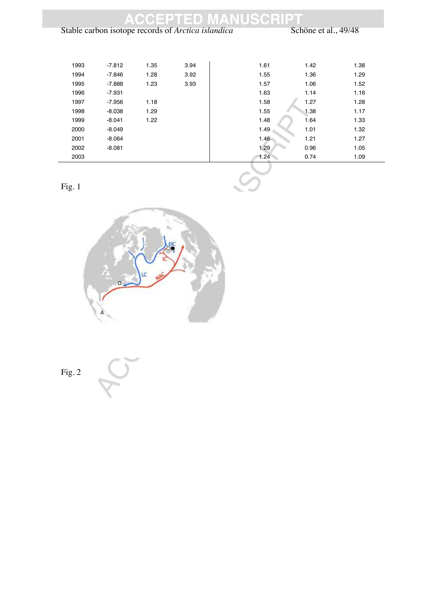|      |          |      |                                                    | <b>ACCEPTED MANUSCRIP1</b> |                      |      |
|------|----------|------|----------------------------------------------------|----------------------------|----------------------|------|
|      |          |      | Stable carbon isotope records of Arctica islandica |                            | Schöne et al., 49/48 |      |
|      |          |      |                                                    |                            |                      |      |
|      |          |      |                                                    |                            |                      |      |
| 1993 | $-7.812$ | 1.35 | 3.94                                               | 1.61                       | 1.42                 | 1.38 |
| 1994 | $-7.846$ | 1.28 | 3.92                                               | 1.55                       | 1.36                 | 1.29 |
| 1995 | $-7.888$ | 1.23 | 3.93                                               | 1.57                       | 1.06                 | 1.52 |
| 1996 | $-7.931$ |      |                                                    | 1.63                       | 1.14                 | 1.16 |
| 1997 | $-7.956$ | 1.18 |                                                    | 1.58                       | 1.27                 | 1.28 |
| 1998 | $-8.038$ | 1.29 |                                                    | 1.55                       | 1.38                 | 1.17 |
| 1999 | $-8.041$ | 1.22 |                                                    | 1.48                       | 1.64                 | 1.33 |
| 2000 | $-8.049$ |      |                                                    | 1.49                       | 1.01                 | 1.32 |
| 2001 | $-8.064$ |      |                                                    | 1.46                       | 1.21                 | 1.27 |
| 2002 | $-8.081$ |      |                                                    | 1.29                       | 0.96                 | 1.05 |
| 2003 |          |      |                                                    | 1.24                       | 0.74                 | 1.09 |

Fig. 1



Fig. 2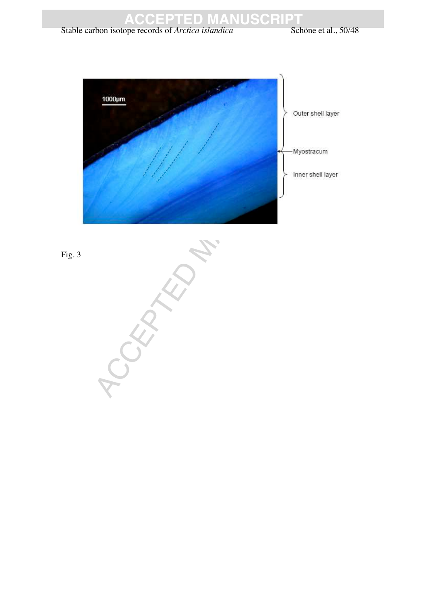

#### Stable carbon isotope records of *Arctica islandica* Schöne et al., 50/48



Fig. 3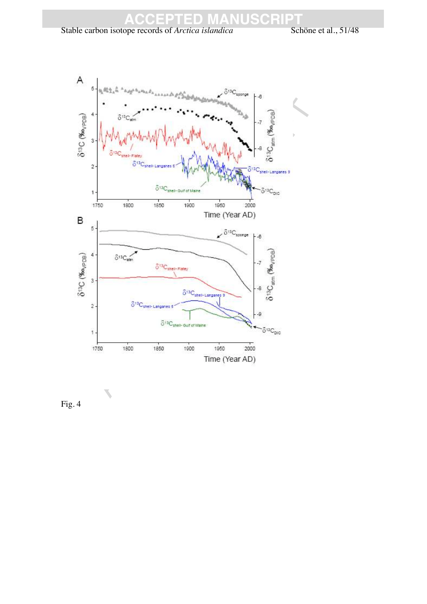#### Stable carbon isotope records of *Arctica islandica* Schöne et al., 51/48



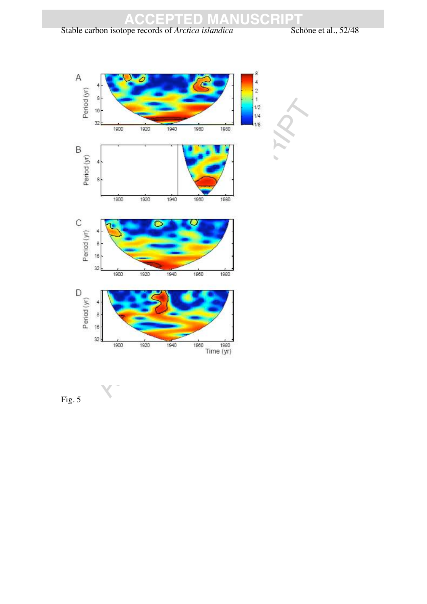#### Stable carbon isotope records of *Arctica islandica* Schöne et al., 52/48